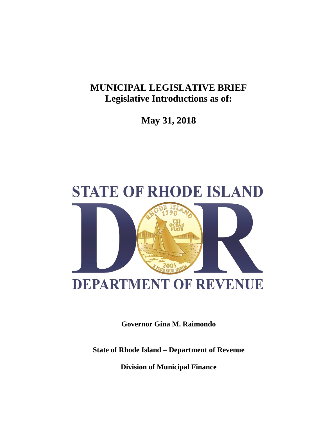# **MUNICIPAL LEGISLATIVE BRIEF Legislative Introductions as of:**

**May 31, 2018**



**Governor Gina M. Raimondo**

**State of Rhode Island – Department of Revenue**

**Division of Municipal Finance**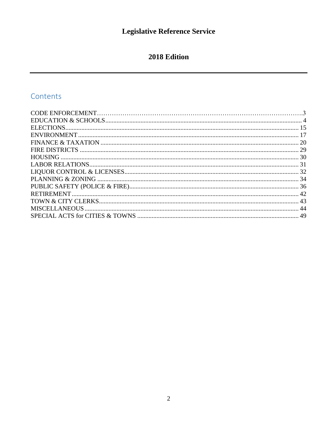# 2018 Edition

# Contents

<span id="page-1-0"></span>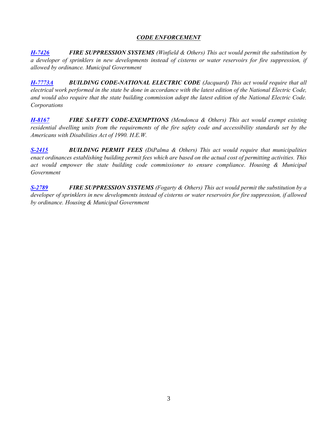## *CODE ENFORCEMENT*

*[H-7426](http://webserver.rilin.state.ri.us/BillText/BillText18/HouseText18/H7426.pdf) FIRE SUPPRESSION SYSTEMS (Winfield & Others) This act would permit the substitution by a developer of sprinklers in new developments instead of cisterns or water reservoirs for fire suppression, if allowed by ordinance. Municipal Government*

*[H-7773A](http://webserver.rilin.state.ri.us/BillText/BillText18/HouseText18/H7773A.pdf) BUILDING CODE-NATIONAL ELECTRIC CODE (Jacquard) This act would require that all electrical work performed in the state be done in accordance with the latest edition of the National Electric Code, and would also require that the state building commission adopt the latest edition of the National Electric Code. Corporations*

*[H-8167](http://webserver.rilin.state.ri.us/BillText/BillText18/HouseText18/H8167.pdf) FIRE SAFETY CODE-EXEMPTIONS (Mendonca & Others) This act would exempt existing residential dwelling units from the requirements of the fire safety code and accessibility standards set by the Americans with Disabilities Act of 1990. H.E.W.*

*[S-2415](http://webserver.rilin.state.ri.us/BillText/BillText18/SenateText18/S2415.pdf) BUILDING PERMIT FEES (DiPalma & Others) This act would require that municipalities enact ordinances establishing building permit fees which are based on the actual cost of permitting activities. This act would empower the state building code commissioner to ensure compliance. Housing & Municipal Government*

*[S-2789](http://webserver.rilin.state.ri.us/BillText/BillText18/SenateText18/S2789.pdf) FIRE SUPPRESSION SYSTEMS (Fogarty & Others) This act would permit the substitution by a developer of sprinklers in new developments instead of cisterns or water reservoirs for fire suppression, if allowed by ordinance. Housing & Municipal Government*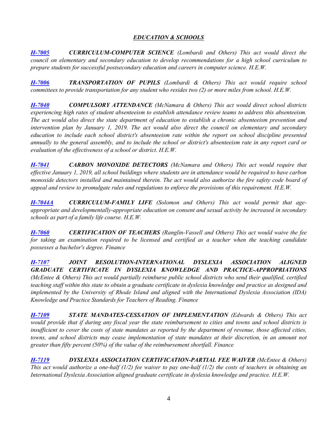# *EDUCATION & SCHOOLS*

*[H-7005](http://webserver.rilin.state.ri.us/BillText/BillText18/HouseText18/H7005.pdf) CURRICULUM-COMPUTER SCIENCE (Lombardi and Others) This act would direct the council on elementary and secondary education to develop recommendations for a high school curriculum to prepare students for successful postsecondary education and careers in computer science. H.E.W.*

*[H-7006](http://webserver.rilin.state.ri.us/BillText/BillText18/HouseText18/H7006.pdf) TRANSPORTATION OF PUPILS (Lombardi & Others) This act would require school committees to provide transportation for any student who resides two (2) or more miles from school. H.E.W.*

*[H-7040](http://webserver.rilin.state.ri.us/BillText/BillText18/HouseText18/H7040.pdf) COMPULSORY ATTENDANCE (McNamara & Others) This act would direct school districts experiencing high rates of student absenteeism to establish attendance review teams to address this absenteeism. The act would also direct the state department of education to establish a chronic absenteeism prevention and intervention plan by January 1, 2019. The act would also direct the council on elementary and secondary education to include each school district's absenteeism rate within the report on school discipline presented annually to the general assembly, and to include the school or district's absenteeism rate in any report card or evaluation of the effectiveness of a school or district. H.E.W.*

*[H-7041](http://webserver.rilin.state.ri.us/BillText/BillText18/HouseText18/H7041.pdf) CARBON MONOXIDE DETECTORS (McNamara and Others) This act would require that effective January 1, 2019, all school buildings where students are in attendance would be required to have carbon monoxide detectors installed and maintained therein. The act would also authorize the fire safety code board of appeal and review to promulgate rules and regulations to enforce the provisions of this requirement. H.E.W.*

*[H-7044A](http://webserver.rilin.state.ri.us/BillText/BillText18/HouseText18/H7044A.pdf) CURRICULUM-FAMILY LIFE (Solomon and Others) This act would permit that ageappropriate and developmentally-appropriate education on consent and sexual activity be increased in secondary schools as part of a family life course. H.E.W.*

*[H-7060](http://webserver.rilin.state.ri.us/BillText/BillText18/HouseText18/H7060.pdf) CERTIFICATION OF TEACHERS (Ranglin-Vassell and Others) This act would waive the fee for taking an examination required to be licensed and certified as a teacher when the teaching candidate possesses a bachelor's degree. Finance*

*[H-7107](http://webserver.rilin.state.ri.us/BillText/BillText18/HouseText18/H7107.pdf) JOINT RESOLUTION-INTERNATIONAL DYSLEXIA ASSOCIATION ALIGNED GRADUATE CERTIFICATE IN DYSLEXIA KNOWLEDGE AND PRACTICE-APPROPRIATIONS (McEntee & Others) This act would partially reimburse public school districts who send their qualified, certified teaching staff within this state to obtain a graduate certificate in dyslexia knowledge and practice as designed and implemented by the University of Rhode Island and aligned with the International Dyslexia Association (IDA) Knowledge and Practice Standards for Teachers of Reading. Finance*

*[H-7109](http://webserver.rilin.state.ri.us/BillText/BillText18/HouseText18/H7109.pdf) STATE MANDATES-CESSATION OF IMPLEMENTATION (Edwards & Others) This act would provide that if during any fiscal year the state reimbursement to cities and towns and school districts is insufficient to cover the costs of state mandates as reported by the department of revenue, those affected cities, towns, and school districts may cease implementation of state mandates at their discretion, in an amount not greater than fifty percent (50%) of the value of the reimbursement shortfall. Finance*

*[H-7119](http://webserver.rilin.state.ri.us/BillText/BillText18/HouseText18/H7119.pdf) DYSLEXIA ASSOCIATION CERTIFICATION-PARTIAL FEE WAIVER (McEntee & Others) This act would authorize a one-half (1/2) fee waiver to pay one-half (1/2) the costs of teachers in obtaining an International Dyslexia Association aligned graduate certificate in dyslexia knowledge and practice. H.E.W.*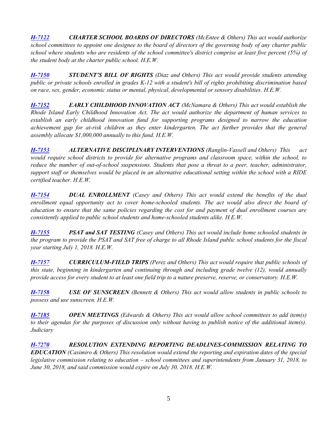*[H-7122](http://webserver.rilin.state.ri.us/BillText/BillText18/HouseText18/H7122.pdf) CHARTER SCHOOL BOARDS OF DIRECTORS (McEntee & Others) This act would authorize school committees to appoint one designee to the board of directors of the governing body of any charter public school where students who are residents of the school committee's district comprise at least five percent (5%) of the student body at the charter public school. H.E.W.*

*[H-7150](http://webserver.rilin.state.ri.us/BillText/BillText18/HouseText18/H7150.pdf) STUDENT'S BILL OF RIGHTS (Diaz and Others) This act would provide students attending public or private schools enrolled in grades K-12 with a student's bill of rights prohibiting discrimination based on race, sex, gender, economic status or mental, physical, developmental or sensory disabilities. H.E.W.*

*[H-7152](http://webserver.rilin.state.ri.us/BillText/BillText18/HouseText18/H7152.pdf) EARLY CHILDHOOD INNOVATION ACT (McNamara & Others) This act would establish the Rhode Island Early Childhood Innovation Act. The act would authorize the department of human services to establish an early childhood innovation fund for supporting programs designed to narrow the education achievement gap for at-risk children as they enter kindergarten. The act further provides that the general assembly allocate \$1,000,000 annually to this fund. H.E.W.*

*[H-7153](http://webserver.rilin.state.ri.us/BillText/BillText18/HouseText18/H7153.pdf) ALTERNATIVE DISCIPLINARY INTERVENTIONS (Ranglin-Vassell and Others) This act would require school districts to provide for alternative programs and classroom space, within the school, to reduce the number of out-of-school suspensions. Students that pose a threat to a peer, teacher, administrator, support staff or themselves would be placed in an alternative educational setting within the school with a RIDE certified teacher. H.E.W.*

*[H-7154](http://webserver.rilin.state.ri.us/BillText/BillText18/HouseText18/H7154.pdf) DUAL ENROLLMENT (Casey and Others) This act would extend the benefits of the dual*  enrollment equal opportunity act to cover home-schooled students. The act would also direct the board of *education to ensure that the same policies regarding the cost for and payment of dual enrollment courses are consistently applied to public school students and home-schooled students alike. H.E.W.*

*[H-7155](http://webserver.rilin.state.ri.us/BillText/BillText18/HouseText18/H7155.pdf) PSAT and SAT TESTING (Casey and Others) This act would include home schooled students in the program to provide the PSAT and SAT free of charge to all Rhode Island public school students for the fiscal year starting July 1, 2018. H.E.W.*

*[H-7157](http://webserver.rilin.state.ri.us/BillText/BillText18/HouseText18/H7157.pdf) CURRICULUM-FIELD TRIPS (Perez and Others) This act would require that public schools of this state, beginning in kindergarten and continuing through and including grade twelve (12), would annually provide access for every student to at least one field trip to a nature preserve, reserve, or conservatory. H.E.W.*

*[H-7158](http://webserver.rilin.state.ri.us/BillText/BillText18/HouseText18/H7158.pdf) USE OF SUNSCREEN (Bennett & Others) This act would allow students in public schools to possess and use sunscreen. H.E.W.*

*[H-7185](http://webserver.rilin.state.ri.us/BillText/BillText18/HouseText18/H7185.pdf) OPEN MEETINGS (Edwards & Others) This act would allow school committees to add item(s) to their agendas for the purposes of discussion only without having to publish notice of the additional item(s). Judiciary*

*[H-7270](http://webserver.rilin.state.ri.us/BillText/BillText18/HouseText18/H7270.pdf) RESOLUTION EXTENDING REPORTING DEADLINES-COMMISSION RELATING TO EDUCATION (Casimiro & Others) This resolution would extend the reporting and expiration dates of the special legislative commission relating to education – school committees and superintendents from January 31, 2018, to June 30, 2018, and said commission would expire on July 30, 2018. H.E.W.*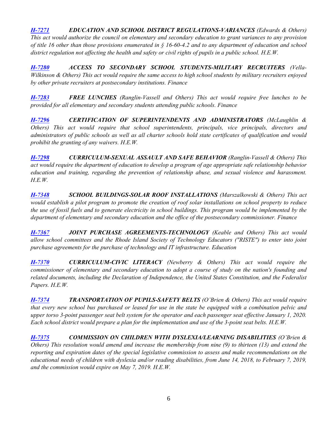*[H-7271](http://webserver.rilin.state.ri.us/BillText/BillText18/HouseText18/H7271.pdf) EDUCATION AND SCHOOL DISTRICT REGULATIONS-VARIANCES (Edwards & Others) This act would authorize the council on elementary and secondary education to grant variances to any provision of title 16 other than those provisions enumerated in § 16-60-4.2 and to any department of education and school district regulation not affecting the health and safety or civil rights of pupils in a public school. H.E.W.*

*[H-7280](http://webserver.rilin.state.ri.us/BillText/BillText18/HouseText18/H7280.pdf) ACCESS TO SECONDARY SCHOOL STUDENTS-MILITARY RECRUITERS (Vella-Wilkinson & Others) This act would require the same access to high school students by military recruiters enjoyed by other private recruiters at postsecondary institutions. Finance*

*[H-7283](http://webserver.rilin.state.ri.us/BillText/BillText18/HouseText18/H7283.pdf) FREE LUNCHES (Ranglin-Vassell and Others) This act would require free lunches to be provided for all elementary and secondary students attending public schools. Finance*

*[H-7296](http://webserver.rilin.state.ri.us/BillText/BillText18/HouseText18/H7296.pdf) CERTIFICATION OF SUPERINTENDENTS AND ADMINISTRATORS (McLaughlin & Others) This act would require that school superintendents, principals, vice principals, directors and administrators of public schools as well as all charter schools hold state certificates of qualification and would prohibit the granting of any waivers. H.E.W.*

*[H-7298](http://webserver.rilin.state.ri.us/BillText/BillText18/HouseText18/H7298.pdf) CURRICULUM-SEXUAL ASSAULT AND SAFE BEHAVIOR (Ranglin-Vassell & Others) This act would require the department of education to develop a program of age appropriate safe relationship behavior education and training, regarding the prevention of relationship abuse, and sexual violence and harassment. H.E.W.*

*[H-7348](http://webserver.rilin.state.ri.us/BillText/BillText18/HouseText18/H7348.pdf) SCHOOL BUILDINGS-SOLAR ROOF INSTALLATIONS (Marszalkowski & Others) This act would establish a pilot program to promote the creation of roof solar installations on school property to reduce the use of fossil fuels and to generate electricity in school buildings. This program would be implemented by the department of elementary and secondary education and the office of the postsecondary commissioner. Finance*

*[H-7367](http://webserver.rilin.state.ri.us/BillText/BillText18/HouseText18/H7367.pdf) JOINT PURCHASE AGREEMENTS-TECHNOLOGY (Keable and Others) This act would allow school committees and the Rhode Island Society of Technology Educators ("RISTE") to enter into joint purchase agreements for the purchase of technology and IT infrastructure. Education*

*[H-7370](http://webserver.rilin.state.ri.us/BillText/BillText18/HouseText18/H7370.pdf) CURRICULUM-CIVIC LITERACY (Newberry & Others) This act would require the commissioner of elementary and secondary education to adopt a course of study on the nation's founding and related documents, including the Declaration of Independence, the United States Constitution, and the Federalist Papers. H.E.W.*

*[H-7374](http://webserver.rilin.state.ri.us/BillText/BillText18/HouseText18/H7374.pdf) TRANSPORTATION OF PUPILS-SAFETY BELTS (O'Brien & Others) This act would require that every new school bus purchased or leased for use in the state be equipped with a combination pelvic and*  upper torso 3-point passenger seat belt system for the operator and each passenger seat effective January 1, 2020. *Each school district would prepare a plan for the implementation and use of the 3-point seat belts. H.E.W.*

*[H-7375](http://webserver.rilin.state.ri.us/BillText/BillText18/HouseText18/H7375.pdf) COMMISSION ON CHILDREN WITH DYSLEXIA/LEARNING DISABILITIES (O'Brien & Others) This resolution would amend and increase the membership from nine (9) to thirteen (13) and extend the reporting and expiration dates of the special legislative commission to assess and make recommendations on the educational needs of children with dyslexia and/or reading disabilities, from June 14, 2018, to February 7, 2019, and the commission would expire on May 7, 2019. H.E.W.*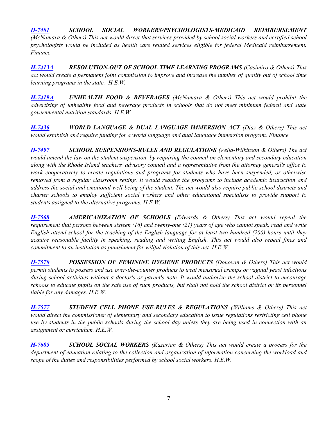*[H-7401](http://webserver.rilin.state.ri.us/BillText/BillText18/HouseText18/H7401.pdf) SCHOOL SOCIAL WORKERS/PSYCHOLOGISTS-MEDICAID REIMBURSEMENT (McNamara & Others) This act would direct that services provided by school social workers and certified school psychologists would be included as health care related services eligible for federal Medicaid reimbursement. Finance*

*[H-7413A](http://webserver.rilin.state.ri.us/BillText/BillText18/HouseText18/H7413A.pdf) RESOLUTION-OUT OF SCHOOL TIME LEARNING PROGRAMS (Casimiro & Others) This act would create a permanent joint commission to improve and increase the number of quality out of school time learning programs in the state. H.E.W.*

*[H-7419A](http://webserver.rilin.state.ri.us/BillText/BillText18/HouseText18/H7419A.pdf) UNHEALTH FOOD & BEVERAGES (McNamara & Others) This act would prohibit the advertising of unhealthy food and beverage products in schools that do not meet minimum federal and state governmental nutrition standards. H.E.W.*

*[H-7436](http://webserver.rilin.state.ri.us/BillText/BillText18/HouseText18/H7436.pdf) WORLD LANGUAGE & DUAL LANGUAGE IMMERSION ACT (Diaz & Others) This act would establish and require funding for a world language and dual language immersion program. Finance*

*[H-7497](http://webserver.rilin.state.ri.us/BillText/BillText18/HouseText18/H7497.pdf) SCHOOL SUSPENSIONS-RULES AND REGULATIONS (Vella-Wilkinson & Others) The act would amend the law on the student suspension, by requiring the council on elementary and secondary education along with the Rhode Island teachers' advisory council and a representative from the attorney general's office to work cooperatively to create regulations and programs for students who have been suspended, or otherwise removed from a regular classroom setting. It would require the programs to include academic instruction and address the social and emotional well-being of the student. The act would also require public school districts and charter schools to employ sufficient social workers and other educational specialists to provide support to students assigned to the alternative programs. H.E.W.*

*[H-7568](http://webserver.rilin.state.ri.us/BillText/BillText18/HouseText18/H7568.pdf) AMERICANIZATION OF SCHOOLS (Edwards & Others) This act would repeal the requirement that persons between sixteen (16) and twenty-one (21) years of age who cannot speak, read and write English attend school for the teaching of the English language for at least two hundred (200) hours until they acquire reasonable facility in speaking, reading and writing English. This act would also repeal fines and commitment to an institution as punishment for willful violation of this act. H.E.W.*

*[H-7570](http://webserver.rilin.state.ri.us/BillText/BillText18/HouseText18/H7570.pdf) POSSESSION OF FEMININE HYGIENE PRODUCTS (Donovan & Others) This act would permit students to possess and use over-the-counter products to treat menstrual cramps or vaginal yeast infections during school activities without a doctor's or parent's note. It would authorize the school district to encourage schools to educate pupils on the safe use of such products, but shall not hold the school district or its personnel liable for any damages. H.E.W.*

*[H-7577](http://webserver.rilin.state.ri.us/BillText/BillText18/HouseText18/H7577.pdf) STUDENT CELL PHONE USE-RULES & REGULATIONS (Williams & Others) This act would direct the commissioner of elementary and secondary education to issue regulations restricting cell phone use by students in the public schools during the school day unless they are being used in connection with an assignment or curriculum. H.E.W.*

*[H-7685](http://webserver.rilin.state.ri.us/BillText/BillText18/HouseText18/H7685.pdf) SCHOOL SOCIAL WORKERS (Kazarian & Others) This act would create a process for the department of education relating to the collection and organization of information concerning the workload and scope of the duties and responsibilities performed by school social workers. H.E.W.*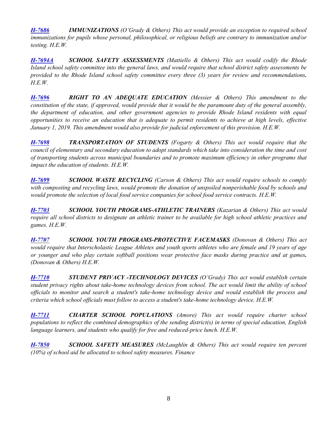*[H-7686](http://webserver.rilin.state.ri.us/BillText/BillText18/HouseText18/H7686.pdf) IMMUNIZATIONS (O'Grady & Others) This act would provide an exception to required school immunizations for pupils whose personal, philosophical, or religious beliefs are contrary to immunization and/or testing. H.E.W.*

*[H-7694A](http://webserver.rilin.state.ri.us/BillText/BillText18/HouseText18/H7694A.pdf) SCHOOL SAFETY ASSESSMENTS (Mattiello & Others) This act would codify the Rhode Island school safety committee into the general laws, and would require that school district safety assessments be provided to the Rhode Island school safety committee every three (3) years for review and recommendations. H.E.W.*

*[H-7696](http://webserver.rilin.state.ri.us/BillText/BillText18/HouseText18/H7696.pdf) RIGHT TO AN ADEQUATE EDUCATION (Messier & Others) This amendment to the constitution of the state, if approved, would provide that it would be the paramount duty of the general assembly, the department of education, and other government agencies to provide Rhode Island residents with equal opportunities to receive an education that is adequate to permit residents to achieve at high levels, effective January 1, 2019. This amendment would also provide for judicial enforcement of this provision. H.E.W.*

*[H-7698](http://webserver.rilin.state.ri.us/BillText/BillText18/HouseText18/H7698.pdf) TRANSPORTATION OF STUDENTS (Fogarty & Others) This act would require that the council of elementary and secondary education to adopt standards which take into consideration the time and cost of transporting students across municipal boundaries and to promote maximum efficiency in other programs that impact the education of students. H.E.W.*

*[H-7699](http://webserver.rilin.state.ri.us/BillText/BillText18/HouseText18/H7699.pdf) SCHOOL WASTE RECYCLING (Carson & Others) This act would require schools to comply*  with composting and recycling laws, would promote the donation of unspoiled nonperishable food by schools and *would promote the selection of local food service companies for school food service contracts. H.E.W.*

*[H-7703](http://webserver.rilin.state.ri.us/BillText/BillText18/HouseText18/H7703.pdf) SCHOOL YOUTH PROGRAMS-ATHLETIC TRAINERS (Kazarian & Others) This act would require all school districts to designate an athletic trainer to be available for high school athletic practices and games. H.E.W.* 

*[H-7707](http://webserver.rilin.state.ri.us/BillText/BillText18/HouseText18/H7707.pdf) SCHOOL YOUTH PROGRAMS-PROTECTIVE FACEMASKS (Donovan & Others) This act would require that Interscholastic League Athletes and youth sports athletes who are female and 19 years of age or younger and who play certain softball positions wear protective face masks during practice and at games. (Donovan & Others) H.E.W.*

*[H-7710](http://webserver.rilin.state.ri.us/BillText/BillText18/HouseText18/H7710.pdf) STUDENT PRIVACY -TECHNOLOGY DEVICES (O'Grady) This act would establish certain student privacy rights about take-home technology devices from school. The act would limit the ability of school officials to monitor and search a student's take-home technology device and would establish the process and criteria which school officials must follow to access a student's take-home technology device. H.E.W.* 

*[H-7711](http://webserver.rilin.state.ri.us/BillText/BillText18/HouseText18/H7711.pdf) CHARTER SCHOOL POPULATIONS (Amore) This act would require charter school populations to reflect the combined demographics of the sending district(s) in terms of special education, English language learners, and students who qualify for free and reduced-price lunch. H.E.W.*

*[H-7850](http://webserver.rilin.state.ri.us/BillText/BillText18/HouseText18/H7850.pdf) SCHOOL SAFETY MEASURES (McLaughlin & Others) This act would require ten percent (10%) of school aid be allocated to school safety measures. Finance*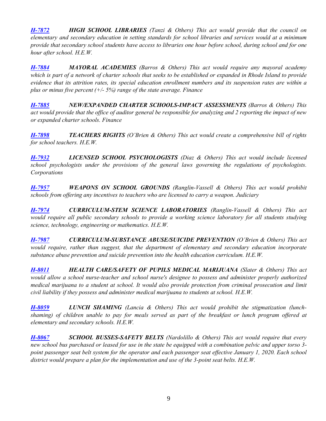*[H-7872](http://webserver.rilin.state.ri.us/BillText/BillText18/HouseText18/H7872.pdf) HIGH SCHOOL LIBRARIES (Tanzi & Others) This act would provide that the council on elementary and secondary education in setting standards for school libraries and services would at a minimum provide that secondary school students have access to libraries one hour before school, during school and for one hour after school. H.E.W.*

*[H-7884](http://webserver.rilin.state.ri.us/BillText/BillText18/HouseText18/H7884.pdf) MAYORAL ACADEMIES (Barros & Others) This act would require any mayoral academy which is part of a network of charter schools that seeks to be established or expanded in Rhode Island to provide evidence that its attrition rates, its special education enrollment numbers and its suspension rates are within a plus or minus five percent (+/- 5%) range of the state average. Finance*

*[H-7885](http://webserver.rilin.state.ri.us/BillText/BillText18/HouseText18/H7885.pdf) NEW/EXPANDED CHARTER SCHOOLS-IMPACT ASSESSMENTS (Barros & Others) This act would provide that the office of auditor general be responsible for analyzing and 2 reporting the impact of new or expanded charter schools. Finance*

*[H-7898](http://webserver.rilin.state.ri.us/BillText/BillText18/HouseText18/H7898.pdf) TEACHERS RIGHTS (O'Brien & Others) This act would create a comprehensive bill of rights for school teachers. H.E.W.*

*[H-7932](http://webserver.rilin.state.ri.us/BillText/BillText18/HouseText18/H7932.pdf) LICENSED SCHOOL PSYCHOLOGISTS (Diaz & Others) This act would include licensed school psychologists under the provisions of the general laws governing the regulations of psychologists. Corporations*

*[H-7957](http://webserver.rilin.state.ri.us/BillText/BillText18/HouseText18/H7957.pdf) WEAPONS ON SCHOOL GROUNDS (Ranglin-Vassell & Others) This act would prohibit schools from offering any incentives to teachers who are licensed to carry a weapon. Judiciary*

*[H-7974](http://webserver.rilin.state.ri.us/BillText/BillText18/HouseText18/H7974.pdf) CURRICULUM-STEM SCIENCE LABORATORIES (Ranglin-Vassell & Others) This act would require all public secondary schools to provide a working science laboratory for all students studying science, technology, engineering or mathematics. H.E.W.* 

*[H-7987](http://webserver.rilin.state.ri.us/BillText/BillText18/HouseText18/H7987.pdf) CURRICULUM-SUBSTANCE ABUSE/SUICIDE PREVENTION (O'Brien & Others) This act would require, rather than suggest, that the department of elementary and secondary education incorporate substance abuse prevention and suicide prevention into the health education curriculum. H.E.W.*

*[H-8011](http://webserver.rilin.state.ri.us/BillText/BillText18/HouseText18/H8011.pdf) HEALTH CARE/SAFETY OF PUPILS MEDICAL MARIJUANA (Slater & Others) This act would allow a school nurse-teacher and school nurse's designee to possess and administer properly authorized medical marijuana to a student at school. It would also provide protection from criminal prosecution and limit civil liability if they possess and administer medical marijuana to students at school. H.E.W.*

*[H-8059](http://webserver.rilin.state.ri.us/BillText/BillText18/HouseText18/H8059.pdf) LUNCH SHAMING (Lancia & Others) This act would prohibit the stigmatization (lunchshaming) of children unable to pay for meals served as part of the breakfast or lunch program offered at elementary and secondary schools. H.E.W.*

*[H-8067](http://webserver.rilin.state.ri.us/BillText/BillText18/HouseText18/H8067.pdf) SCHOOL BUSSES-SAFETY BELTS (Nardolillo & Others) This act would require that every new school bus purchased or leased for use in the state be equipped with a combination pelvic and upper torso 3* point passenger seat belt system for the operator and each passenger seat effective January 1, 2020. Each school *district would prepare a plan for the implementation and use of the 3-point seat belts. H.E.W.*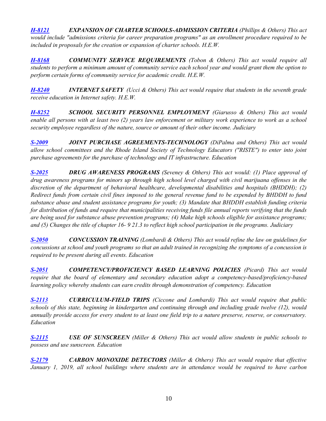*[H-8121](http://webserver.rilin.state.ri.us/BillText/BillText18/HouseText18/H8121.pdf) EXPANSION OF CHARTER SCHOOLS-ADMISSION CRITERIA (Phillips & Others) This act would include "admissions criteria for career preparation programs" as an enrollment procedure required to be included in proposals for the creation or expansion of charter schools. H.E.W.*

*[H-8168](http://webserver.rilin.state.ri.us/BillText/BillText18/HouseText18/H8168.pdf) COMMUNITY SERVICE REQUIREMENTS (Tobon & Others) This act would require all students to perform a minimum amount of community service each school year and would grant them the option to perform certain forms of community service for academic credit. H.E.W.*

*[H-8240](http://webserver.rilin.state.ri.us/BillText/BillText18/HouseText18/H8240.pdf) INTERNET SAFETY (Ucci & Others) This act would require that students in the seventh grade receive education in Internet safety. H.E.W.*

*[H-8252](http://webserver.rilin.state.ri.us/BillText/BillText18/HouseText18/H8252.pdf) SCHOOL SECURITY PERSONNEL EMPLOYMENT (Giarusso & Others) This act would enable all persons with at least two (2) years law enforcement or military work experience to work as a school security employee regardless of the nature, source or amount of their other income. Judiciary*

*[S-2009](http://webserver.rilin.state.ri.us/BillText/BillText18/SenateText18/S2009.pdf) JOINT PURCHASE AGREEMENTS-TECHNOLOGY (DiPalma and Others) This act would allow school committees and the Rhode Island Society of Technology Educators ("RISTE") to enter into joint purchase agreements for the purchase of technology and IT infrastructure. Education* 

*[S-2025](http://webserver.rilin.state.ri.us/BillText/BillText18/SenateText18/S2025.pdf) DRUG AWARENESS PROGRAMS (Seveney & Others) This act would: (1) Place approval of drug awareness programs for minors up through high school level charged with civil marijuana offenses in the discretion of the department of behavioral healthcare, developmental disabilities and hospitals (BHDDH); (2) Redirect funds from certain civil fines imposed to the general revenue fund to be expended by BHDDH to fund substance abuse and student assistance programs for youth; (3) Mandate that BHDDH establish funding criteria for distribution of funds and require that municipalities receiving funds file annual reports verifying that the funds are being used for substance abuse prevention programs; (4) Make high schools eligible for assistance programs; and (5) Changes the title of chapter 16- 9 21.3 to reflect high school participation in the programs. Judiciary*

*[S-2050](http://webserver.rilin.state.ri.us/BillText/BillText18/SenateText18/S2050.pdf) CONCUSSION TRAINING (Lombardi & Others) This act would refine the law on guidelines for concussions at school and youth programs so that an adult trained in recognizing the symptoms of a concussion is required to be present during all events. Education*

*[S-2051](http://webserver.rilin.state.ri.us/BillText/BillText18/SenateText18/S2051.pdf) COMPETENCY/PROFICIENCY BASED LEARNING POLICIES (Picard) This act would require that the board of elementary and secondary education adopt a competency-based/proficiency-based learning policy whereby students can earn credits through demonstration of competency. Education*

*[S-2113](http://webserver.rilin.state.ri.us/BillText/BillText18/SenateText18/S2113.pdf) CURRICULUM-FIELD TRIPS (Ciccone and Lombardi) This act would require that public schools of this state, beginning in kindergarten and continuing through and including grade twelve (12), would annually provide access for every student to at least one field trip to a nature preserve, reserve, or conservatory. Education*

*[S-2115](http://webserver.rilin.state.ri.us/BillText/BillText18/SenateText18/S2115.pdf) USE OF SUNSCREEN (Miller & Others) This act would allow students in public schools to possess and use sunscreen. Education*

*[S-2179](http://webserver.rilin.state.ri.us/BillText/BillText18/SenateText18/S2179.pdf) CARBON MONOXIDE DETECTORS (Miller & Others) This act would require that effective January 1, 2019, all school buildings where students are in attendance would be required to have carbon*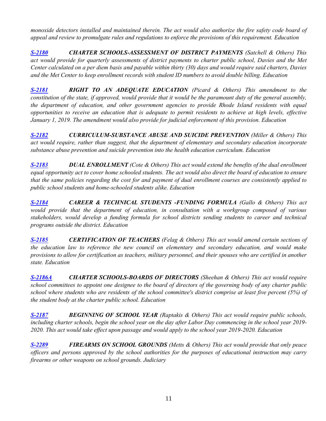*monoxide detectors installed and maintained therein. The act would also authorize the fire safety code board of appeal and review to promulgate rules and regulations to enforce the provisions of this requirement. Education*

*[S-2180](http://webserver.rilin.state.ri.us/BillText/BillText18/SenateText18/S2180.pdf) CHARTER SCHOOLS-ASSESSMENT OF DISTRICT PAYMENTS (Satchell & Others) This act would provide for quarterly assessments of district payments to charter public school, Davies and the Met Center calculated on a per diem basis and payable within thirty (30) days and would require said charters, Davies and the Met Center to keep enrollment records with student ID numbers to avoid double billing. Education*

*[S-2181](http://webserver.rilin.state.ri.us/BillText/BillText18/SenateText18/S2181.pdf) RIGHT TO AN ADEQUATE EDUCATION (Picard & Others) This amendment to the constitution of the state, if approved, would provide that it would be the paramount duty of the general assembly, the department of education, and other government agencies to provide Rhode Island residents with equal opportunities to receive an education that is adequate to permit residents to achieve at high levels, effective January 1, 2019. The amendment would also provide for judicial enforcement of this provision. Education*

*[S-2182](http://webserver.rilin.state.ri.us/BillText/BillText18/SenateText18/S2182.pdf) CURRICULUM-SUBSTANCE ABUSE AND SUICIDE PREVENTION (Miller & Others) This act would require, rather than suggest, that the department of elementary and secondary education incorporate substance abuse prevention and suicide prevention into the health education curriculum. Education*

*[S-2183](http://webserver.rilin.state.ri.us/BillText/BillText18/SenateText18/S2183.pdf) DUAL ENROLLMENT (Cote & Others) This act would extend the benefits of the dual enrollment equal opportunity act to cover home schooled students. The act would also direct the board of education to ensure that the same policies regarding the cost for and payment of dual enrollment courses are consistently applied to public school students and home-schooled students alike. Education*

*[S-2184](http://webserver.rilin.state.ri.us/BillText/BillText18/SenateText18/S2184.pdf) CAREER & TECHNICAL STUDENTS -FUNDING FORMULA (Gallo & Others) This act would provide that the department of education, in consultation with a workgroup composed of various stakeholders, would develop a funding formula for school districts sending students to career and technical programs outside the district. Education*

*[S-2185](http://webserver.rilin.state.ri.us/BillText/BillText18/SenateText18/S2185.pdf) CERTIFICATION OF TEACHERS (Felag & Others) This act would amend certain sections of the education law to reference the new council on elementary and secondary education, and would make provisions to allow for certification as teachers, military personnel, and their spouses who are certified in another state. Education*

*[S-2186A](http://webserver.rilin.state.ri.us/BillText/BillText18/SenateText18/S2186A.pdf) CHARTER SCHOOLS-BOARDS OF DIRECTORS (Sheehan & Others) This act would require school committees to appoint one designee to the board of directors of the governing body of any charter public school where students who are residents of the school committee's district comprise at least five percent (5%) of the student body at the charter public school. Education*

*[S-2187](http://webserver.rilin.state.ri.us/BillText/BillText18/SenateText18/S2187.pdf) BEGINNING OF SCHOOL YEAR (Raptakis & Others) This act would require public schools, including charter schools, begin the school year on the day after Labor Day commencing in the school year 2019- 2020. This act would take effect upon passage and would apply to the school year 2019-2020. Education*

*[S-2289](http://webserver.rilin.state.ri.us/BillText/BillText18/SenateText18/S2289.pdf) FIREARMS ON SCHOOL GROUNDS (Metts & Others) This act would provide that only peace officers and persons approved by the school authorities for the purposes of educational instruction may carry firearms or other weapons on school grounds. Judiciary*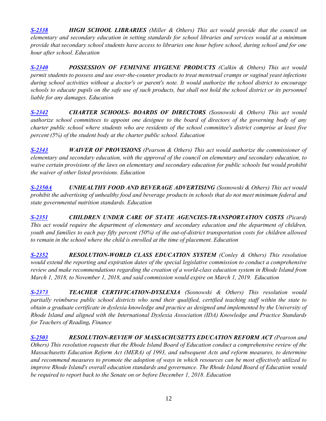*[S-2338](http://webserver.rilin.state.ri.us/BillText/BillText18/SenateText18/S2338.pdf) HIGH SCHOOL LIBRARIES (Miller & Others) This act would provide that the council on elementary and secondary education in setting standards for school libraries and services would at a minimum provide that secondary school students have access to libraries one hour before school, during school and for one hour after school. Education*

*[S-2340](http://webserver.rilin.state.ri.us/BillText/BillText18/SenateText18/S2340.pdf) POSSESSION OF FEMININE HYGIENE PRODUCTS (Calkin & Others) This act would permit students to possess and use over-the-counter products to treat menstrual cramps or vaginal yeast infections during school activities without a doctor's or parent's note. It would authorize the school district to encourage schools to educate pupils on the safe use of such products, but shall not hold the school district or its personnel liable for any damages. Education*

*[S-2342](http://webserver.rilin.state.ri.us/BillText/BillText18/SenateText18/S2342.pdf) CHARTER SCHOOLS- BOARDS OF DIRECTORS (Sosnowski & Others) This act would authorize school committees to appoint one designee to the board of directors of the governing body of any charter public school where students who are residents of the school committee's district comprise at least five percent (5%) of the student body at the charter public school. Education*

*[S-2343](http://webserver.rilin.state.ri.us/BillText/BillText18/SenateText18/S2343.pdf) WAIVER OF PROVISIONS (Pearson & Others) This act would authorize the commissioner of elementary and secondary education, with the approval of the council on elementary and secondary education, to waive certain provisions of the laws on elementary and secondary education for public schools but would prohibit the waiver of other listed provisions. Education*

*[S-2350A](http://webserver.rilin.state.ri.us/BillText/BillText18/SenateText18/S2350A.pdf) UNHEALTHY FOOD AND BEVERAGE ADVERTISING (Sosnowski & Others) This act would prohibit the advertising of unhealthy food and beverage products in schools that do not meet minimum federal and state governmental nutrition standards. Education*

*[S-2351](http://webserver.rilin.state.ri.us/BillText/BillText18/SenateText18/S2351.pdf) CHILDREN UNDER CARE OF STATE AGENCIES-TRANSPORTATION COSTS (Picard) This act would require the department of elementary and secondary education and the department of children, youth and families to each pay fifty percent (50%) of the out-of-district transportation costs for children allowed to remain in the school where the child is enrolled at the time of placement. Education*

*[S-2352](http://webserver.rilin.state.ri.us/BillText/BillText18/SenateText18/S2352.pdf) RESOLUTION-WORLD CLASS EDUCATION SYSTEM (Conley & Others) This resolution would extend the reporting and expiration dates of the special legislative commission to conduct a comprehensive review and make recommendations regarding the creation of a world-class education system in Rhode Island from March 1, 2018, to November 1, 2018, and said commission would expire on March 1, 2019. Education*

*[S-2373](http://webserver.rilin.state.ri.us/BillText/BillText18/SenateText18/S2373.pdf) TEACHER CERTIFICATION-DYSLEXIA (Sosnowski & Others) This resolution would partially reimburse public school districts who send their qualified, certified teaching staff within the state to obtain a graduate certificate in dyslexia knowledge and practice as designed and implemented by the University of Rhode Island and aligned with the International Dyslexia Association (IDA) Knowledge and Practice Standards for Teachers of Reading. Finance*

**[S-2503](http://webserver.rilin.state.ri.us/BillText/BillText18/SenateText18/S2503.pdf) RESOLUTION-REVIEW OF MASSACHUSETTS EDUCATION REFORM ACT** (Pearson and *Others) This resolution requests that the Rhode Island Board of Education conduct a comprehensive review of the Massachusetts Education Reform Act (MERA) of 1993, and subsequent Acts and reform measures, to determine and recommend measures to promote the adoption of ways in which resources can be most effectively utilized to improve Rhode Island's overall education standards and governance. The Rhode Island Board of Education would be required to report back to the Senate on or before December 1, 2018. Education*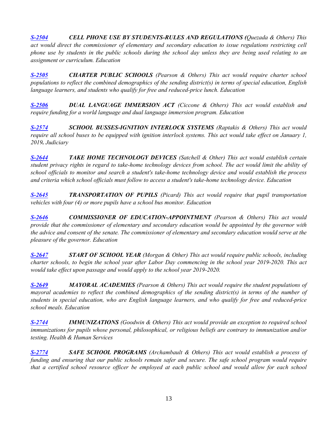*[S-2504](http://webserver.rilin.state.ri.us/BillText/BillText18/SenateText18/S2504.pdf) CELL PHONE USE BY STUDENTS-RULES AND REGULATIONS (Quezada & Others) This act would direct the commissioner of elementary and secondary education to issue regulations restricting cell phone use by students in the public schools during the school day unless they are being used relating to an assignment or curriculum. Education*

*[S-2505](http://webserver.rilin.state.ri.us/BillText/BillText18/SenateText18/S2505.pdf) CHARTER PUBLIC SCHOOLS (Pearson & Others) This act would require charter school populations to reflect the combined demographics of the sending district(s) in terms of special education, English language learners, and students who qualify for free and reduced-price lunch. Education*

*[S-2506](http://webserver.rilin.state.ri.us/BillText/BillText18/SenateText18/S2506.pdf) DUAL LANGUAGE IMMERSION ACT (Ciccone & Others) This act would establish and require funding for a world language and dual language immersion program. Education*

*[S-2574](http://webserver.rilin.state.ri.us/BillText/BillText18/SenateText18/S2574.pdf) SCHOOL BUSSES-IGNITION INTERLOCK SYSTEMS (Raptakis & Others) This act would require all school buses to be equipped with ignition interlock systems. This act would take effect on January 1, 2019. Judiciary*

*[S-2644](http://webserver.rilin.state.ri.us/BillText/BillText18/SenateText18/S2644.pdf) TAKE HOME TECHNOLOGY DEVICES (Satchell & Other) This act would establish certain student privacy rights in regard to take-home technology devices from school. The act would limit the ability of school officials to monitor and search a student's take-home technology device and would establish the process and criteria which school officials must follow to access a student's take-home technology device. Education*

*[S-2645](http://webserver.rilin.state.ri.us/BillText/BillText18/SenateText18/S2645.pdf) TRANSPORTATION OF PUPILS (Picard) This act would require that pupil transportation vehicles with four (4) or more pupils have a school bus monitor. Education* 

*[S-2646](http://webserver.rilin.state.ri.us/BillText/BillText18/SenateText18/S2646.pdf) COMMISSIONER OF EDUCATION-APPOINTMENT (Pearson & Others) This act would provide that the commissioner of elementary and secondary education would be appointed by the governor with the advice and consent of the senate. The commissioner of elementary and secondary education would serve at the pleasure of the governor. Education*

*[S-2647](http://webserver.rilin.state.ri.us/BillText/BillText18/SenateText18/S2647.pdf) START OF SCHOOL YEAR (Morgan & Other) This act would require public schools, including charter schools, to begin the school year after Labor Day commencing in the school year 2019-2020. This act would take effect upon passage and would apply to the school year 2019-2020.*

*[S-2649](http://webserver.rilin.state.ri.us/BillText/BillText18/SenateText18/S2649.pdf) MAYORAL ACADEMIES (Pearson & Others) This act would require the student populations of mayoral academies to reflect the combined demographics of the sending district(s) in terms of the number of students in special education, who are English language learners, and who qualify for free and reduced-price school meals. Education*

*[S-2744](http://webserver.rilin.state.ri.us/BillText/BillText18/SenateText18/S2744.pdf) IMMUNIZATIONS (Goodwin & Others) This act would provide an exception to required school immunizations for pupils whose personal, philosophical, or religious beliefs are contrary to immunization and/or testing. Health & Human Services*

*[S-2774](http://webserver.rilin.state.ri.us/BillText/BillText18/SenateText18/S2774.pdf) SAFE SCHOOL PROGRAMS (Archambault & Others) This act would establish a process of funding and ensuring that our public schools remain safer and secure. The safe school program would require that a certified school resource officer be employed at each public school and would allow for each school*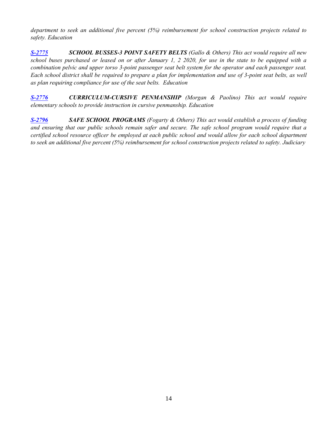*department to seek an additional five percent (5%) reimbursement for school construction projects related to safety. Education*

*[S-2775](http://webserver.rilin.state.ri.us/BillText/BillText18/SenateText18/S2775.pdf) SCHOOL BUSSES-3 POINT SAFETY BELTS (Gallo & Others) This act would require all new school buses purchased or leased on or after January 1, 2 2020, for use in the state to be equipped with a combination pelvic and upper torso 3-point passenger seat belt system for the operator and each passenger seat. Each school district shall be required to prepare a plan for implementation and use of 3-point seat belts, as well as plan requiring compliance for use of the seat belts. Education* 

*[S-2776](http://webserver.rilin.state.ri.us/BillText/BillText18/SenateText18/S2776.pdf) CURRICULUM-CURSIVE PENMANSHIP (Morgan & Paolino) This act would require elementary schools to provide instruction in cursive penmanship. Education*

*[S-2796](http://webserver.rilin.state.ri.us/BillText/BillText18/SenateText18/S2796.pdf) SAFE SCHOOL PROGRAMS (Fogarty & Others) This act would establish a process of funding and ensuring that our public schools remain safer and secure. The safe school program would require that a certified school resource officer be employed at each public school and would allow for each school department to seek an additional five percent (5%) reimbursement for school construction projects related to safety. Judiciary*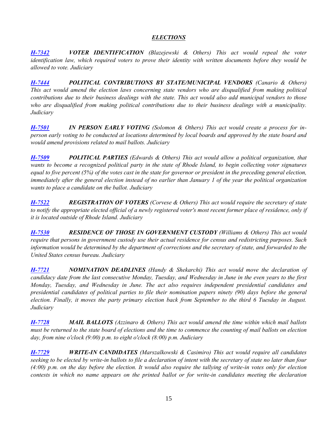## *ELECTIONS*

<span id="page-14-0"></span>*[H-7342](http://webserver.rilin.state.ri.us/BillText/BillText18/HouseText18/H7342.pdf) VOTER IDENTIFICATION (Blazejewski & Others) This act would repeal the voter identification law, which required voters to prove their identity with written documents before they would be allowed to vote. Judiciary*

*[H-7444](http://webserver.rilin.state.ri.us/BillText/BillText18/HouseText18/H7444.pdf) POLITICAL CONTRIBUTIONS BY STATE/MUNICIPAL VENDORS (Canario & Others) This act would amend the election laws concerning state vendors who are disqualified from making political contributions due to their business dealings with the state. This act would also add municipal vendors to those who are disqualified from making political contributions due to their business dealings with a municipality. Judiciary*

*[H-7501](http://webserver.rilin.state.ri.us/BillText/BillText18/HouseText18/H7501.pdf) IN PERSON EARLY VOTING (Solomon & Others) This act would create a process for inperson early voting to be conducted at locations determined by local boards and approved by the state board and would amend provisions related to mail ballots. Judiciary*

*[H-7509](http://webserver.rilin.state.ri.us/BillText/BillText18/HouseText18/H7509.pdf) POLITICAL PARTIES (Edwards & Others) This act would allow a political organization, that wants to become a recognized political party in the state of Rhode Island, to begin collecting voter signatures equal to five percent (5%) of the votes cast in the state for governor or president in the preceding general election, immediately after the general election instead of no earlier than January 1 of the year the political organization wants to place a candidate on the ballot. Judiciary*

*[H-7522](http://webserver.rilin.state.ri.us/BillText/BillText18/HouseText18/H7522.pdf) REGISTRATION OF VOTERS (Corvese & Others) This act would require the secretary of state to notify the appropriate elected official of a newly registered voter's most recent former place of residence, only if it is located outside of Rhode Island. Judiciary*

*[H-7530](http://webserver.rilin.state.ri.us/BillText/BillText18/HouseText18/H7530.pdf) RESIDENCE OF THOSE IN GOVERNMENT CUSTODY (Williams & Others) This act would require that persons in government custody use their actual residence for census and redistricting purposes. Such information would be determined by the department of corrections and the secretary of state, and forwarded to the United States census bureau. Judiciary*

*[H-7721](http://webserver.rilin.state.ri.us/BillText/BillText18/HouseText18/H7721.pdf) NOMINATION DEADLINES (Handy & Shekarchi) This act would move the declaration of candidacy date from the last consecutive Monday, Tuesday, and Wednesday in June in the even years to the first Monday, Tuesday, and Wednesday in June. The act also requires independent presidential candidates and presidential candidates of political parties to file their nomination papers ninety (90) days before the general election. Finally, it moves the party primary election back from September to the third 6 Tuesday in August. Judiciary*

*[H-7728](http://webserver.rilin.state.ri.us/BillText/BillText18/HouseText18/H7728.pdf) MAIL BALLOTS (Azzinaro & Others) This act would amend the time within which mail ballots must be returned to the state board of elections and the time to commence the counting of mail ballots on election day, from nine o'clock (9:00) p.m. to eight o'clock (8:00) p.m. Judiciary*

*[H-7729](http://webserver.rilin.state.ri.us/BillText/BillText18/HouseText18/H7729.pdf) WRITE-IN CANDIDATES (Marszalkowski & Casimiro) This act would require all candidates seeking to be elected by write-in ballots to file a declaration of intent with the secretary of state no later than four (4:00) p.m. on the day before the election. It would also require the tallying of write-in votes only for election contests in which no name appears on the printed ballot or for write-in candidates meeting the declaration*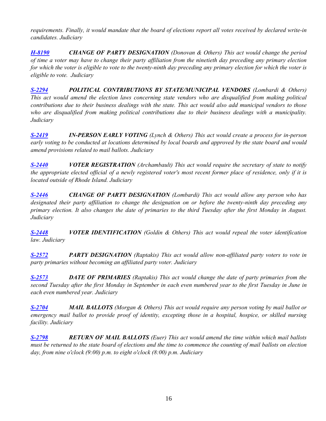*requirements. Finally, it would mandate that the board of elections report all votes received by declared write-in candidates. Judiciary*

*[H-8190](http://webserver.rilin.state.ri.us/BillText/BillText18/HouseText18/H8190.pdf) CHANGE OF PARTY DESIGNATION (Donovan & Others) This act would change the period of time a voter may have to change their party affiliation from the ninetieth day preceding any primary election for which the voter is eligible to vote to the twenty-ninth day preceding any primary election for which the voter is eligible to vote. Judiciary* 

*[S-2294](http://webserver.rilin.state.ri.us/BillText/BillText18/SenateText18/S2294.pdf) POLITICAL CONTRIBUTIONS BY STATE/MUNICIPAL VENDORS (Lombardi & Others) This act would amend the election laws concerning state vendors who are disqualified from making political contributions due to their business dealings with the state. This act would also add municipal vendors to those who are disqualified from making political contributions due to their business dealings with a municipality. Judiciary*

*[S-2419](http://webserver.rilin.state.ri.us/BillText/BillText18/SenateText18/S2419.pdf) IN-PERSON EARLY VOTING (Lynch & Others) This act would create a process for in-person early voting to be conducted at locations determined by local boards and approved by the state board and would amend provisions related to mail ballots. Judiciary*

*[S-2440](http://webserver.rilin.state.ri.us/BillText/BillText18/SenateText18/S2440.pdf) VOTER REGISTRATION (Archambault) This act would require the secretary of state to notify the appropriate elected official of a newly registered voter's most recent former place of residence, only if it is located outside of Rhode Island. Judiciary*

*[S-2446](http://webserver.rilin.state.ri.us/BillText/BillText18/SenateText18/S2446.pdf) CHANGE OF PARTY DESIGNATION (Lombardi) This act would allow any person who has designated their party affiliation to change the designation on or before the twenty-ninth day preceding any primary election. It also changes the date of primaries to the third Tuesday after the first Monday in August. Judiciary*

*[S-2448](http://webserver.rilin.state.ri.us/BillText/BillText18/SenateText18/S2448.pdf) VOTER IDENTIFICATION (Goldin & Others) This act would repeal the voter identification law. Judiciary*

*[S-2572](http://webserver.rilin.state.ri.us/BillText/BillText18/SenateText18/S2572.pdf) PARTY DESIGNATION (Raptakis) This act would allow non-affiliated party voters to vote in party primaries without becoming an affiliated party voter. Judiciary*

*[S-2573](http://webserver.rilin.state.ri.us/BillText/BillText18/SenateText18/S2573.pdf) DATE OF PRIMARIES (Raptakis) This act would change the date of party primaries from the second Tuesday after the first Monday in September in each even numbered year to the first Tuesday in June in each even numbered year. Judiciary*

*[S-2704](http://webserver.rilin.state.ri.us/BillText/BillText18/SenateText18/S2704.pdf) MAIL BALLOTS (Morgan & Others) This act would require any person voting by mail ballot or emergency mail ballot to provide proof of identity, excepting those in a hospital, hospice, or skilled nursing facility. Judiciary*

*[S-2798](http://webserver.rilin.state.ri.us/BillText/BillText18/SenateText18/S2798.pdf) RETURN OF MAIL BALLOTS (Euer) This act would amend the time within which mail ballots must be returned to the state board of elections and the time to commence the counting of mail ballots on election day, from nine o'clock (9:00) p.m. to eight o'clock (8:00) p.m. Judiciary*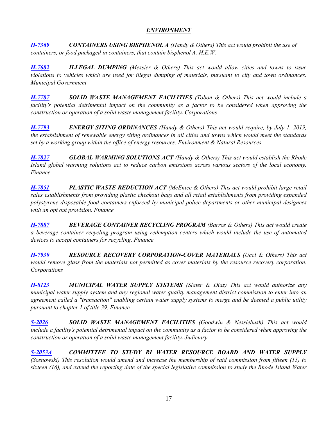## *ENVIRONMENT*

<span id="page-16-0"></span>*[H-7369](http://webserver.rilin.state.ri.us/BillText/BillText18/HouseText18/H7369.pdf) CONTAINERS USING BISPHENOL A (Handy & Others) This act would prohibit the use of containers, or food packaged in containers, that contain bisphenol A. H.E.W.*

*[H-7682](http://webserver.rilin.state.ri.us/BillText/BillText18/HouseText18/H7682.pdf) ILLEGAL DUMPING (Messier & Others) This act would allow cities and towns to issue violations to vehicles which are used for illegal dumping of materials, pursuant to city and town ordinances. Municipal Government*

*[H-7787](http://webserver.rilin.state.ri.us/BillText/BillText18/HouseText18/H7787.pdf) SOLID WASTE MANAGEMENT FACILITIES (Tobon & Others) This act would include a facility's potential detrimental impact on the community as a factor to be considered when approving the construction or operation of a solid waste management facility. Corporations*

*[H-7793](http://webserver.rilin.state.ri.us/BillText/BillText18/HouseText18/H7793.pdf) ENERGY SITING ORDINANCES (Handy & Others) This act would require, by July 1, 2019, the establishment of renewable energy siting ordinances in all cities and towns which would meet the standards set by a working group within the office of energy resources. Environment & Natural Resources*

*[H-7827](http://webserver.rilin.state.ri.us/BillText/BillText18/HouseText18/H7827.pdf) GLOBAL WARMING SOLUTIONS ACT (Handy & Others) This act would establish the Rhode Island global warming solutions act to reduce carbon emissions across various sectors of the local economy. Finance*

*[H-7851](http://webserver.rilin.state.ri.us/BillText/BillText18/HouseText18/H7851.pdf) PLASTIC WASTE REDUCTION ACT (McEntee & Others) This act would prohibit large retail sales establishments from providing plastic checkout bags and all retail establishments from providing expanded polystyrene disposable food containers enforced by municipal police departments or other municipal designees with an opt out provision. Finance*

*[H-7887](http://webserver.rilin.state.ri.us/BillText/BillText18/HouseText18/H7887.pdf) BEVERAGE CONTAINER RECYCLING PROGRAM (Barros & Others) This act would create a beverage container recycling program using redemption centers which would include the use of automated devices to accept containers for recycling. Finance*

*[H-7930](http://webserver.rilin.state.ri.us/BillText/BillText18/HouseText18/H7930.pdf) RESOURCE RECOVERY CORPORATION-COVER MATERIALS (Ucci & Others) This act would remove glass from the materials not permitted as cover materials by the resource recovery corporation. Corporations*

*[H-8123](http://webserver.rilin.state.ri.us/BillText/BillText18/HouseText18/H8123.pdf) MUNICIPAL WATER SUPPLY SYSTEMS (Slater & Diaz) This act would authorize any municipal water supply system and any regional water quality management district commission to enter into an agreement called a "transaction" enabling certain water supply systems to merge and be deemed a public utility pursuant to chapter 1 of title 39. Finance*

*[S-2026](http://webserver.rilin.state.ri.us/BillText/BillText18/SenateText18/S2026.pdf) SOLID WASTE MANAGEMENT FACILITIES (Goodwin & Nesslebush) This act would include a facility's potential detrimental impact on the community as a factor to be considered when approving the construction or operation of a solid waste management facility. Judiciary*

*[S-2053A](http://webserver.rilin.state.ri.us/BillText/BillText18/SenateText18/S2053A.pdf) COMMITTEE TO STUDY RI WATER RESOURCE BOARD AND WATER SUPPLY (Sosnowski) This resolution would amend and increase the membership of said commission from fifteen (15) to sixteen (16), and extend the reporting date of the special legislative commission to study the Rhode Island Water*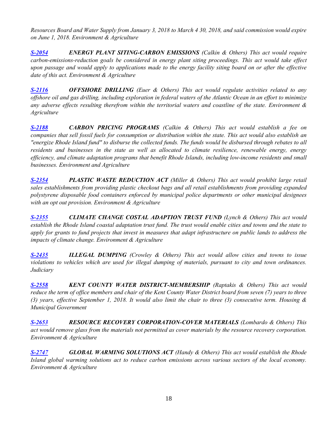*Resources Board and Water Supply from January 3, 2018 to March 4 30, 2018, and said commission would expire on June 1, 2018. Environment & Agriculture* 

*[S-2054](http://webserver.rilin.state.ri.us/BillText/BillText18/SenateText18/S2054.pdf) ENERGY PLANT SITING-CARBON EMISSIONS (Calkin & Others) This act would require carbon-emissions-reduction goals be considered in energy plant siting proceedings. This act would take effect upon passage and would apply to applications made to the energy facility siting board on or after the effective date of this act. Environment & Agriculture*

*[S-2116](http://webserver.rilin.state.ri.us/BillText/BillText18/SenateText18/S2116.pdf) OFFSHORE DRILLING (Euer & Others) This act would regulate activities related to any offshore oil and gas drilling, including exploration in federal waters of the Atlantic Ocean in an effort to minimize any adverse effects resulting therefrom within the territorial waters and coastline of the state. Environment & Agriculture* 

*[S-2188](http://webserver.rilin.state.ri.us/BillText/BillText18/SenateText18/S2188.pdf) CARBON PRICING PROGRAMS (Calkin & Others) This act would establish a fee on companies that sell fossil fuels for consumption or distribution within the state. This act would also establish an "energize Rhode Island fund" to disburse the collected funds. The funds would be disbursed through rebates to all residents and businesses in the state as well as allocated to climate resilience, renewable energy, energy efficiency, and climate adaptation programs that benefit Rhode Islands, including low-income residents and small businesses. Environment and Agriculture*

*[S-2354](http://webserver.rilin.state.ri.us/BillText/BillText18/SenateText18/S2354.pdf) PLASTIC WASTE REDUCTION ACT (Miller & Others) This act would prohibit large retail sales establishments from providing plastic checkout bags and all retail establishments from providing expanded polystyrene disposable food containers enforced by municipal police departments or other municipal designees with an opt out provision. Environment & Agriculture*

*[S-2355](http://webserver.rilin.state.ri.us/BillText/BillText18/SenateText18/S2355.pdf) CLIMATE CHANGE COSTAL ADAPTION TRUST FUND (Lynch & Others) This act would establish the Rhode Island coastal adaptation trust fund. The trust would enable cities and towns and the state to apply for grants to fund projects that invest in measures that adapt infrastructure on public lands to address the impacts of climate change. Environment & Agriculture*

*[S-2435](http://webserver.rilin.state.ri.us/BillText/BillText18/SenateText18/S2435.pdf) ILLEGAL DUMPING (Crowley & Others) This act would allow cities and towns to issue violations to vehicles which are used for illegal dumping of materials, pursuant to city and town ordinances. Judiciary*

*[S-2558](http://webserver.rilin.state.ri.us/BillText/BillText18/SenateText18/S2558.pdf) KENT COUNTY WATER DISTRICT-MEMBERSHIP (Raptakis & Others) This act would reduce the term of office members and chair of the Kent County Water District board from seven (7) years to three (3) years, effective September 1, 2018. It would also limit the chair to three (3) consecutive term. Housing & Municipal Government*

*[S-2653](http://webserver.rilin.state.ri.us/BillText/BillText18/SenateText18/S2653.pdf) RESOURCE RECOVERY CORPORATION-COVER MATERIALS (Lombardo & Others) This act would remove glass from the materials not permitted as cover materials by the resource recovery corporation. Environment & Agriculture*

*[S-2747](http://webserver.rilin.state.ri.us/BillText/BillText18/SenateText18/S2747.pdf) GLOBAL WARMING SOLUTIONS ACT (Handy & Others) This act would establish the Rhode Island global warming solutions act to reduce carbon emissions across various sectors of the local economy. Environment & Agriculture*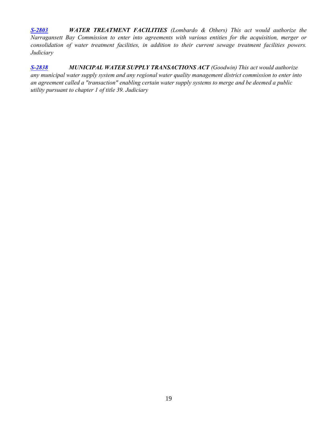*[S-2803](http://webserver.rilin.state.ri.us/BillText/BillText18/SenateText18/S2803.pdf) WATER TREATMENT FACILITIES (Lombardo & Others) This act would authorize the Narragansett Bay Commission to enter into agreements with various entities for the acquisition, merger or consolidation of water treatment facilities, in addition to their current sewage treatment facilities powers. Judiciary*

*[S-2838](http://webserver.rilin.state.ri.us/BillText/BillText18/SenateText18/S2838.pdf) MUNICIPAL WATER SUPPLY TRANSACTIONS ACT (Goodwin) This act would authorize any municipal water supply system and any regional water quality management district commission to enter into an agreement called a "transaction" enabling certain water supply systems to merge and be deemed a public utility pursuant to chapter 1 of title 39. Judiciary*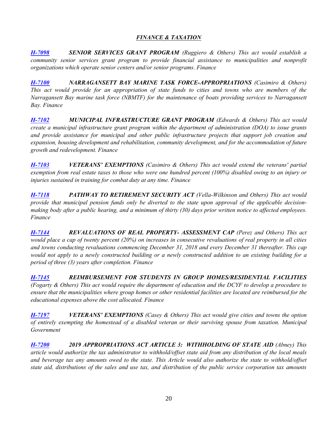## *FINANCE & TAXATION*

<span id="page-19-0"></span>*[H-7098](http://webserver.rilin.state.ri.us/BillText/BillText18/HouseText18/H7098.pdf) SENIOR SERVICES GRANT PROGRAM (Ruggiero & Others) This act would establish a community senior services grant program to provide financial assistance to municipalities and nonprofit organizations which operate senior centers and/or senior programs. Finance*

*[H-7100](http://webserver.rilin.state.ri.us/BillText/BillText18/HouseText18/H7100.pdf) NARRAGANSETT BAY MARINE TASK FORCE-APPROPRIATIONS (Casimiro & Others) This act would provide for an appropriation of state funds to cities and towns who are members of the Narragansett Bay marine task force (NBMTF) for the maintenance of boats providing services to Narragansett Bay. Finance*

*[H-7102](http://webserver.rilin.state.ri.us/BillText/BillText18/HouseText18/H7102.pdf) MUNICIPAL INFRASTRUCTURE GRANT PROGRAM (Edwards & Others) This act would create a municipal infrastructure grant program within the department of administration (DOA) to issue grants and provide assistance for municipal and other public infrastructure projects that support job creation and expansion, housing development and rehabilitation, community development, and for the accommodation of future growth and redevelopment. Finance*

*[H-7103](http://webserver.rilin.state.ri.us/BillText/BillText18/HouseText18/H7103.pdf) VETERANS' EXEMPTIONS (Casimiro & Others) This act would extend the veterans' partial exemption from real estate taxes to those who were one hundred percent (100%) disabled owing to an injury or injuries sustained in training for combat duty at any time. Finance*

*[H-7118](http://webserver.rilin.state.ri.us/BillText/BillText18/HouseText18/H7118.pdf) PATHWAY TO RETIREMENT SECURITY ACT (Vella-Wilkinson and Others) This act would provide that municipal pension funds only be diverted to the state upon approval of the applicable decisionmaking body after a public hearing, and a minimum of thirty (30) days prior written notice to affected employees. Finance*

*[H-7144](http://webserver.rilin.state.ri.us/BillText/BillText18/HouseText18/H7144.pdf) REVALUATIONS OF REAL PROPERTY- ASSESSMENT CAP (Perez and Others) This act would place a cap of twenty percent (20%) on increases in consecutive revaluations of real property in all cities and towns conducting revaluations commencing December 31, 2018 and every December 31 thereafter. This cap would not apply to a newly constructed building or a newly constructed addition to an existing building for a period of three (3) years after completion. Finance*

*[H-7145](http://webserver.rilin.state.ri.us/BillText/BillText18/HouseText18/H7145.pdf) REIMBURSEMENT FOR STUDENTS IN GROUP HOMES/RESIDENTIAL FACILITIES (Fogarty & Others) This act would require the department of education and the DCYF to develop a procedure to ensure that the municipalities where group homes or other residential facilities are located are reimbursed for the educational expenses above the cost allocated. Finance*

*[H-7197](http://webserver.rilin.state.ri.us/BillText/BillText18/HouseText18/H7197.pdf) VETERANS' EXEMPTIONS (Casey & Others) This act would give cities and towns the option of entirely exempting the homestead of a disabled veteran or their surviving spouse from taxation. Municipal Government*

*[H-7200](http://webserver.rilin.state.ri.us/BillText/BillText18/HouseText18/H7200.pdf) 2019 APPROPRIATIONS ACT ARTICLE 3: WITHHOLDING OF STATE AID (Abney) This article would authorize the tax administrator to withhold/offset state aid from any distribution of the local meals and beverage tax any amounts owed to the state. This Article would also authorize the state to withhold/offset state aid, distributions of the sales and use tax, and distribution of the public service corporation tax amounts*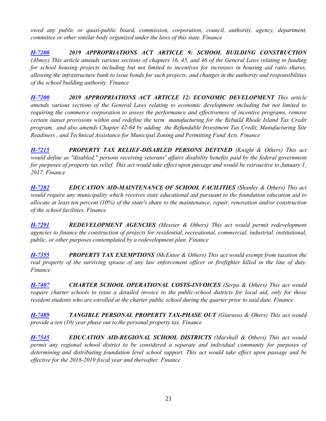*owed any public or quasi-public board, commission, corporation, council, authority, agency, department, committee or other similar body organized under the laws of this state. Finance*

*[H-7200](http://webserver.rilin.state.ri.us/BillText18/HouseText18/Article-009.pdf) 2019 APPROPRIATIONS ACT ARTICLE 9: SCHOOL BUILDING CONSTRUCTION (Abney) This article amends various sections of chapters 16, 45, and 46 of the General Laws relating to funding for school housing projects including but not limited to incentives for increases in housing aid ratio shares, allowing the infrastructure bank to issue bonds for such projects, and changes in the authority and responsibilities of the school building authority. Finance*

*[H-7200](http://webserver.rilin.state.ri.us/BillText18/HouseText18/Article-012.pdf) 2019 APPROPRIATIONS ACT ARTICLE 12: ECONOMIC DEVELOPMENT This article amends various sections of the General Laws relating to economic development including but not limited to requiring the commerce corporation to assess the performance and effectiveness of incentive programs, remove certain sunset provisions within and redefine the term manufacturing for the Rebuild Rhode Island Tax Credit program, and also amends Chapter 42-64 by adding the Refundable Investment Tax Credit, Manufacturing Site Readiness , and Technical Assistance for Municipal Zoning and Permitting Fund Acts. Finance*

*[H-7215](http://webserver.rilin.state.ri.us/BillText/BillText18/HouseText18/H7215.pdf) PROPERTY TAX RELIEF-DISABLED PERSONS DEFINED (Knight & Others) This act would define as "disabled," persons receiving veterans' affairs disability benefits paid by the federal government for purposes of property tax relief. This act would take effect upon passage and would be retroactive to January 1, 2017. Finance*

*[H-7282](http://webserver.rilin.state.ri.us/BillText/BillText18/HouseText18/H7282.pdf) EDUCATION AID-MAINTENANCE OF SCHOOL FACILITIES (Shanley & Others) This act would require any municipality which receives state educational aid pursuant to the foundation education aid to allocate at least ten percent (10%) of the state's share to the maintenance, repair, renovation and/or construction of the school facilities. Finance*

*[H-7291](http://webserver.rilin.state.ri.us/BillText/BillText18/HouseText18/H7291.pdf) REDEVELOPMENT AGENCIES (Messier & Others) This act would permit redevelopment agencies to finance the construction of projects for residential, recreational, commercial, industrial, institutional, public, or other purposes contemplated by a redevelopment plan. Finance*

*[H-7355](http://webserver.rilin.state.ri.us/BillText/BillText18/HouseText18/H7355.pdf) PROPERTY TAX EXEMPTIONS (McEntee & Others) This act would exempt from taxation the real property of the surviving spouse of any law enforcement officer or firefighter killed in the line of duty. Finance*

*[H-7407](http://webserver.rilin.state.ri.us/BillText/BillText18/HouseText18/H7407.pdf) CHARTER SCHOOL OPERATIONAL COSTS-INVOICES (Serpa & Others) This act would require charter schools to issue a detailed invoice to the public-school districts for local aid, only for those resident students who are enrolled at the charter public school during the quarter prior to said date. Finance*

*[H-7489](http://webserver.rilin.state.ri.us/BillText/BillText18/HouseText18/H7489.pdf) TANGIBLE PERSONAL PROPERTY TAX-PHASE OUT (Giarusso & Ohers) This act would provide a ten (10) year phase out to the personal property tax. Finance*

*[H-7545](http://webserver.rilin.state.ri.us/BillText/BillText18/HouseText18/H7545.pdf) EDUCATION AID-REGIONAL SCHOOL DISTRICTS (Marshall & Others) This act would permit any regional school district to be considered a separate and individual community for purposes of determining and distributing foundation level school support. This act would take effect upon passage and be effective for the 2018-2019 fiscal year and thereafter. Finance*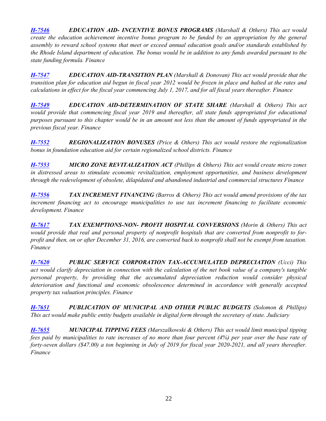*[H-7546](http://webserver.rilin.state.ri.us/BillText/BillText18/HouseText18/H7546.pdf) EDUCATION AID- INCENTIVE BONUS PROGRAMS (Marshall & Others) This act would create the education achievement incentive bonus program to be funded by an appropriation by the general assembly to reward school systems that meet or exceed annual education goals and/or standards established by the Rhode Island department of education. The bonus would be in addition to any funds awarded pursuant to the state funding formula. Finance*

*[H-7547](http://webserver.rilin.state.ri.us/BillText/BillText18/HouseText18/H7547.pdf) EDUCATION AID-TRANSITION PLAN (Marshall & Donovan) This act would provide that the transition plan for education aid begun in fiscal year 2012 would be frozen in place and halted at the rates and calculations in effect for the fiscal year commencing July 1, 2017, and for all fiscal years thereafter. Finance*

*[H-7549](http://webserver.rilin.state.ri.us/BillText/BillText18/HouseText18/H7549.pdf) EDUCATION AID-DETERMINATION OF STATE SHARE (Marshall & Others) This act would provide that commencing fiscal year 2019 and thereafter, all state funds appropriated for educational purposes pursuant to this chapter would be in an amount not less than the amount of funds appropriated in the previous fiscal year. Finance*

*[H-7552](http://webserver.rilin.state.ri.us/BillText/BillText18/HouseText18/H7552.pdf) REGIONALIZATION BONUSES (Price & Others) This act would restore the regionalization bonus in foundation education aid for certain regionalized school districts. Finance*

*[H-7553](http://webserver.rilin.state.ri.us/BillText/BillText18/HouseText18/H7553.pdf) MICRO ZONE REVITALIZATION ACT (Phillips & Others) This act would create micro zones in distressed areas to stimulate economic revitalization, employment opportunities, and business development through the redevelopment of obsolete, dilapidated and abandoned industrial and commercial structures Finance*

*[H-7556](http://webserver.rilin.state.ri.us/BillText/BillText18/HouseText18/H7556.pdf) TAX INCREMENT FINANCING (Barros & Others) This act would amend provisions of the tax increment financing act to encourage municipalities to use tax increment financing to facilitate economic development. Finance*

*[H-7617](http://webserver.rilin.state.ri.us/BillText/BillText18/HouseText18/H7617.pdf) TAX EXEMPTIONS-NON- PROFIT HOSPITAL CONVERSIONS (Morin & Others) This act would provide that real and personal property of nonprofit hospitals that are converted from nonprofit to forprofit and then, on or after December 31, 2016, are converted back to nonprofit shall not be exempt from taxation. Finance*

*[H-7620](http://webserver.rilin.state.ri.us/BillText/BillText18/HouseText18/H7620.pdf) PUBLIC SERVICE CORPORATION TAX-ACCUMULATED DEPRECIATION (Ucci) This act would clarify depreciation in connection with the calculation of the net book value of a company's tangible personal property, by providing that the accumulated depreciation reduction would consider physical deterioration and functional and economic obsolescence determined in accordance with generally accepted property tax valuation principles. Finance*

*[H-7651](http://webserver.rilin.state.ri.us/BillText/BillText18/HouseText18/H7651.pdf) PUBLICATION OF MUNICIPAL AND OTHER PUBLIC BUDGETS (Solomon & Phillips) This act would make public entity budgets available in digital form through the secretary of state. Judiciary*

*[H-7655](http://webserver.rilin.state.ri.us/BillText/BillText18/HouseText18/H7655.pdf) MUNICIPAL TIPPING FEES (Marszalkowski & Others) This act would limit municipal tipping fees paid by municipalities to rate increases of no more than four percent (4%) per year over the base rate of forty-seven dollars (\$47.00) a ton beginning in July of 2019 for fiscal year 2020-2021, and all years thereafter. Finance*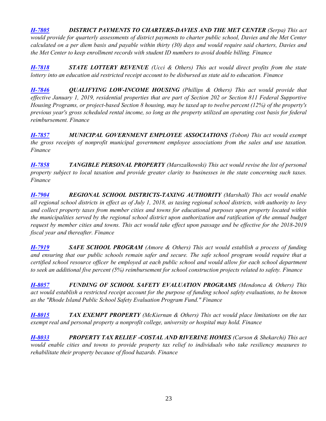*[H-7805](http://webserver.rilin.state.ri.us/BillText/BillText18/HouseText18/H7805.pdf) DISTRICT PAYMENTS TO CHARTERS-DAVIES AND THE MET CENTER (Serpa) This act would provide for quarterly assessments of district payments to charter public school, Davies and the Met Center calculated on a per diem basis and payable within thirty (30) days and would require said charters, Davies and the Met Center to keep enrollment records with student ID numbers to avoid double billing. Finance*

*[H-7818](http://webserver.rilin.state.ri.us/BillText/BillText18/HouseText18/H7818.pdf) STATE LOTTERY REVENUE (Ucci & Others) This act would direct profits from the state lottery into an education aid restricted receipt account to be disbursed as state aid to education. Finance*

*[H-7846](http://webserver.rilin.state.ri.us/BillText/BillText18/HouseText18/H7846.pdf) QUALIFYING LOW-INCOME HOUSING (Phillips & Others) This act would provide that effective January 1, 2019, residential properties that are part of Section 202 or Section 811 Federal Supportive Housing Programs, or project-based Section 8 housing, may be taxed up to twelve percent (12%) of the property's previous year's gross scheduled rental income, so long as the property utilized an operating cost basis for federal reimbursement. Finance*

*[H-7857](http://webserver.rilin.state.ri.us/BillText/BillText18/HouseText18/H7857.pdf) MUNICIPAL GOVERNMENT EMPLOYEE ASSOCIATIONS (Tobon) This act would exempt the gross receipts of nonprofit municipal government employee associations from the sales and use taxation. Finance*

*[H-7858](http://webserver.rilin.state.ri.us/BillText/BillText18/HouseText18/H7858.pdf) TANGIBLE PERSONAL PROPERTY (Marszalkowski) This act would revise the list of personal property subject to local taxation and provide greater clarity to businesses in the state concerning such taxes. Finance*

*[H-7904](http://webserver.rilin.state.ri.us/BillText/BillText18/HouseText18/H7904.pdf) REGIONAL SCHOOL DISTRICTS-TAXING AUTHORITY (Marshall) This act would enable all regional school districts in effect as of July 1, 2018, as taxing regional school districts, with authority to levy and collect property taxes from member cities and towns for educational purposes upon property located within the municipalities served by the regional school district upon authorization and ratification of the annual budget request by member cities and towns. This act would take effect upon passage and be effective for the 2018-2019 fiscal year and thereafter. Finance*

*[H-7919](http://webserver.rilin.state.ri.us/BillText/BillText18/HouseText18/H7919.pdf) SAFE SCHOOL PROGRAM (Amore & Others) This act would establish a process of funding and ensuring that our public schools remain safer and secure. The safe school program would require that a certified school resource officer be employed at each public school and would allow for each school department to seek an additional five percent (5%) reimbursement for school construction projects related to safety. Finance*

*[H-8057](http://webserver.rilin.state.ri.us/BillText/BillText18/HouseText18/H8057.pdf) FUNDING OF SCHOOL SAFETY EVALUATION PROGRAMS (Mendonca & Others) This act would establish a restricted receipt account for the purpose of funding school safety evaluations, to be known as the "Rhode Island Public School Safety Evaluation Program Fund." Finance*

*[H-8015](http://webserver.rilin.state.ri.us/BillText/BillText18/HouseText18/H8015.pdf) TAX EXEMPT PROPERTY (McKiernan & Others) This act would place limitations on the tax exempt real and personal property a nonprofit college, university or hospital may hold. Finance*

*[H-8033](http://webserver.rilin.state.ri.us/BillText/BillText18/HouseText18/H8033.pdf) PROPERTY TAX RELIEF -COSTAL AND RIVERINE HOMES (Carson & Shekarchi) This act would enable cities and towns to provide property tax relief to individuals who take resiliency measures to rehabilitate their property because of flood hazards. Finance*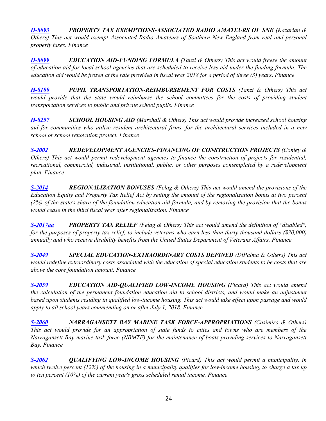*[H-8093](http://webserver.rilin.state.ri.us/BillText/BillText18/HouseText18/H8093.pdf) PROPERTY TAX EXEMPTIONS-ASSOCIATED RADIO AMATEURS OF SNE (Kazarian & Others) This act would exempt Associated Radio Amateurs of Southern New England from real and personal property taxes. Finance*

*[H-8099](http://webserver.rilin.state.ri.us/BillText/BillText18/HouseText18/H8099.pdf) EDUCATION AID-FUNDING FORMULA (Tanzi & Others) This act would freeze the amount of education aid for local school agencies that are scheduled to receive less aid under the funding formula. The education aid would be frozen at the rate provided in fiscal year 2018 for a period of three (3) years. Finance*

*[H-8100](http://webserver.rilin.state.ri.us/BillText/BillText18/HouseText18/H8100.pdf) PUPIL TRANSPORTATION-REIMBURSEMENT FOR COSTS (Tanzi & Others) This act would provide that the state would reimburse the school committees for the costs of providing student transportation services to public and private school pupils. Finance*

*[H-8257](http://webserver.rilin.state.ri.us/BillText/BillText18/HouseText18/H8257.pdf) SCHOOL HOUSING AID (Marshall & Others) This act would provide increased school housing aid for communities who utilize resident architectural firms, for the architectural services included in a new school or school renovation project. Finance*

*[S-2002](http://webserver.rilin.state.ri.us/BillText/BillText18/SenateText18/S2002.pdf) REDEVELOPMENT AGENCIES-FINANCING OF CONSTRUCTION PROJECTS (Conley & Others) This act would permit redevelopment agencies to finance the construction of projects for residential, recreational, commercial, industrial, institutional, public, or other purposes contemplated by a redevelopment plan. Finance*

*[S-2014](http://webserver.rilin.state.ri.us/BillText/BillText18/SenateText18/S2014.pdf) REGIONALIZATION BONUSES (Felag & Others) This act would amend the provisions of the Education Equity and Property Tax Relief Act by setting the amount of the regionalization bonus at two percent (2%) of the state's share of the foundation education aid formula, and by removing the provision that the bonus would cease in the third fiscal year after regionalization. Finance*

*[S-2017aa](http://webserver.rilin.state.ri.us/BillText/BillText18/SenateText18/S2017aa.pdf) PROPERTY TAX RELIEF (Felag & Others) This act would amend the definition of "disabled", for the purposes of property tax relief, to include veterans who earn less than thirty thousand dollars (\$30,000) annually and who receive disability benefits from the United States Department of Veterans Affairs. Finance*

*[S-2049](http://webserver.rilin.state.ri.us/BillText/BillText18/SenateText18/S2049.pdf) SPECIAL EDUCATION-EXTRAORDINARY COSTS DEFINED (DiPalma & Others) This act would redefine extraordinary costs associated with the education of special education students to be costs that are above the core foundation amount. Finance*

*[S-2059](http://webserver.rilin.state.ri.us/BillText/BillText18/SenateText18/S2059.pdf) EDUCATION AID-QUALIFIED LOW-INCOME HOUSING (Picard) This act would amend the calculation of the permanent foundation education aid to school districts, and would make an adjustment based upon students residing in qualified low-income housing. This act would take effect upon passage and would apply to all school years commending on or after July 1, 2018. Finance*

*[S-2060](http://webserver.rilin.state.ri.us/BillText/BillText18/SenateText18/S2060.pdf) NARRAGANSETT BAY MARINE TASK FORCE-APPROPRIATIONS (Casimiro & Others) This act would provide for an appropriation of state funds to cities and towns who are members of the Narragansett Bay marine task force (NBMTF) for the maintenance of boats providing services to Narragansett Bay. Finance*

*[S-2062](http://webserver.rilin.state.ri.us/BillText/BillText18/SenateText18/S2062.pdf) QUALIFYING LOW-INCOME HOUSING (Picard) This act would permit a municipality, in which twelve percent (12%) of the housing in a municipality qualifies for low-income housing, to charge a tax up to ten percent (10%) of the current year's gross scheduled rental income. Finance*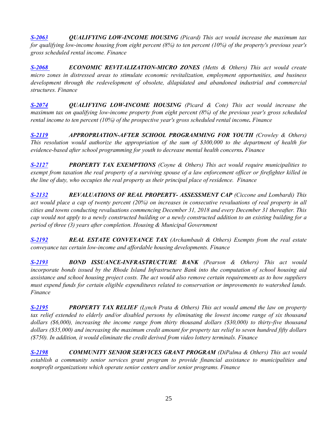*[S-2063](http://webserver.rilin.state.ri.us/BillText/BillText18/SenateText18/S2063.pdf) QUALIFYING LOW-INCOME HOUSING (Picard) This act would increase the maximum tax for qualifying low-income housing from eight percent (8%) to ten percent (10%) of the property's previous year's gross scheduled rental income. Finance*

*[S-2068](http://webserver.rilin.state.ri.us/BillText/BillText18/SenateText18/S2068.pdf) ECONOMIC REVITALIZATION-MICRO ZONES (Metts & Others) This act would create micro zones in distressed areas to stimulate economic revitalization, employment opportunities, and business development through the redevelopment of obsolete, dilapidated and abandoned industrial and commercial structures. Finance*

*[S-2074](http://webserver.rilin.state.ri.us/BillText/BillText18/SenateText18/S2074.pdf) QUALIFYING LOW-INCOME HOUSING (Picard & Cote) This act would increase the maximum tax on qualifying low-income property from eight percent (8%) of the previous year's gross scheduled rental income to ten percent (10%) of the prospective year's gross scheduled rental income. Finance*

*[S-2119](http://webserver.rilin.state.ri.us/BillText/BillText18/SenateText18/S2119.pdf) APPROPRIATION-AFTER SCHOOL PROGRAMMING FOR YOUTH (Crowley & Others) This resolution would authorize the appropriation of the sum of \$300,000 to the department of health for evidence-based after school programming for youth to decrease mental health concerns. Finance*

*[S-2127](http://webserver.rilin.state.ri.us/BillText/BillText18/SenateText18/S2127.pdf) PROPERTY TAX EXEMPTIONS (Coyne & Others) This act would require municipalities to exempt from taxation the real property of a surviving spouse of a law enforcement officer or firefighter killed in the line of duty, who occupies the real property as their principal place of residence. Finance*

*[S-2132](http://webserver.rilin.state.ri.us/BillText/BillText18/SenateText18/S2132.pdf) REVALUATIONS OF REAL PROPERTY- ASSESSMENT CAP (Ciccone and Lombardi) This act would place a cap of twenty percent (20%) on increases in consecutive revaluations of real property in all cities and towns conducting revaluations commencing December 31, 2018 and every December 31 thereafter. This cap would not apply to a newly constructed building or a newly constructed addition to an existing building for a period of three (3) years after completion. Housing & Municipal Government*

*[S-2192](http://webserver.rilin.state.ri.us/BillText/BillText18/SenateText18/S2192.pdf) REAL ESTATE CONVEYANCE TAX (Archambault & Others) Exempts from the real estate conveyance tax certain low-income and affordable housing developments. Finance*

*[S-2193](http://webserver.rilin.state.ri.us/BillText/BillText18/SenateText18/S2193.pdf) BOND ISSUANCE-INFRASTRUCTURE BANK (Pearson & Others) This act would incorporate bonds issued by the Rhode Island Infrastructure Bank into the computation of school housing aid assistance and school housing project costs. The act would also remove certain requirements as to how suppliers must expend funds for certain eligible expenditures related to conservation or improvements to watershed lands. Finance*

*[S-2195](http://webserver.rilin.state.ri.us/BillText/BillText18/SenateText18/S2195.pdf) PROPERTY TAX RELIEF (Lynch Prata & Others) This act would amend the law on property tax relief extended to elderly and/or disabled persons by eliminating the lowest income range of six thousand dollars (\$6,000), increasing the income range from thirty thousand dollars (\$30,000) to thirty-five thousand dollars (\$35,000) and increasing the maximum credit amount for property tax relief to seven hundred fifty dollars (\$750). In addition, it would eliminate the credit derived from video lottery terminals. Finance*

*[S-2198](http://webserver.rilin.state.ri.us/BillText/BillText18/SenateText18/S2198.pdf) COMMUNITY SENIOR SERVICES GRANT PROGRAM (DiPalma & Others) This act would establish a community senior services grant program to provide financial assistance to municipalities and nonprofit organizations which operate senior centers and/or senior programs. Finance*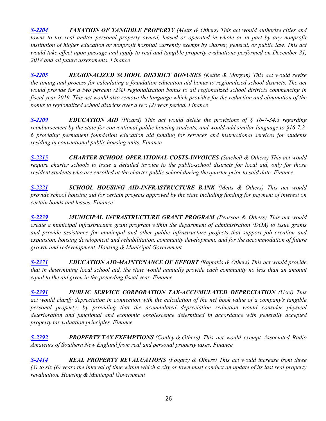*[S-2204](http://webserver.rilin.state.ri.us/BillText/BillText18/SenateText18/S2204.pdf) TAXATION OF TANGIBLE PROPERTY (Metts & Others) This act would authorize cities and towns to tax real and/or personal property owned, leased or operated in whole or in part by any nonprofit institution of higher education or nonprofit hospital currently exempt by charter, general, or public law. This act would take effect upon passage and apply to real and tangible property evaluations performed on December 31, 2018 and all future assessments. Finance*

*[S-2205](http://webserver.rilin.state.ri.us/BillText/BillText18/SenateText18/S2205.pdf) REGIONALIZED SCHOOL DISTRICT BONUSES (Kettle & Morgan) This act would revise the timing and process for calculating a foundation education aid bonus to regionalized school districts. The act would provide for a two percent (2%) regionalization bonus to all regionalized school districts commencing in fiscal year 2019. This act would also remove the language which provides for the reduction and elimination of the bonus to regionalized school districts over a two (2) year period. Finance*

*[S-2209](http://webserver.rilin.state.ri.us/BillText/BillText18/SenateText18/S2209.pdf) EDUCATION AID (Picard) This act would delete the provisions of § 16-7-34.3 regarding reimbursement by the state for conventional public housing students, and would add similar language to §16-7.2- 6 providing permanent foundation education aid funding for services and instructional services for students residing in conventional public housing units. Finance*

*[S-2215](http://webserver.rilin.state.ri.us/BillText/BillText18/SenateText18/S2215.pdf) CHARTER SCHOOL OPERATIONAL COSTS-INVOICES (Satchell & Others) This act would require charter schools to issue a detailed invoice to the public-school districts for local aid, only for those resident students who are enrolled at the charter public school during the quarter prior to said date. Finance*

*[S-2221](http://webserver.rilin.state.ri.us/BillText/BillText18/SenateText18/S2221.pdf) SCHOOL HOUSING AID-INFRASTRUCTURE BANK (Metts & Others) This act would provide school housing aid for certain projects approved by the state including funding for payment of interest on certain bonds and leases. Finance*

*[S-2239](http://webserver.rilin.state.ri.us/BillText/BillText18/SenateText18/S2239.pdf) MUNICIPAL INFRASTRUCTURE GRANT PROGRAM (Pearson & Others) This act would create a municipal infrastructure grant program within the department of administration (DOA) to issue grants and provide assistance for municipal and other public infrastructure projects that support job creation and expansion, housing development and rehabilitation, community development, and for the accommodation of future growth and redevelopment. Housing & Municipal Government*

*[S-2371](http://webserver.rilin.state.ri.us/BillText/BillText18/SenateText18/S2371.pdf) EDUCATION AID-MAINTENANCE OF EFFORT (Raptakis & Others) This act would provide that in determining local school aid, the state would annually provide each community no less than an amount equal to the aid given in the preceding fiscal year. Finance*

**[S-2391](http://webserver.rilin.state.ri.us/BillText/BillText18/SenateText18/S2391.pdf) PUBLIC SERVICE CORPORATION TAX-ACCUMULATED DEPRECIATION (Ucci) This** *act would clarify depreciation in connection with the calculation of the net book value of a company's tangible personal property, by providing that the accumulated depreciation reduction would consider physical deterioration and functional and economic obsolescence determined in accordance with generally accepted property tax valuation principles. Finance*

*[S-2392](http://webserver.rilin.state.ri.us/BillText/BillText18/SenateText18/S2392.pdf) PROPERTY TAX EXEMPTIONS (Conley & Others) This act would exempt Associated Radio Amateurs of Southern New England from real and personal property taxes. Finance*

*[S-2414](http://webserver.rilin.state.ri.us/BillText/BillText18/SenateText18/S2414.pdf) REAL PROPERTY REVALUATIONS (Fogarty & Others) This act would increase from three (3) to six (6) years the interval of time within which a city or town must conduct an update of its last real property revaluation. Housing & Municipal Government*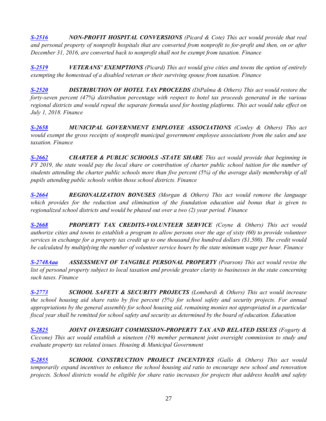*[S-2516](http://webserver.rilin.state.ri.us/BillText/BillText18/SenateText18/S2516.pdf) NON-PROFIT HOSPITAL CONVERSIONS (Picard & Cote) This act would provide that real and personal property of nonprofit hospitals that are converted from nonprofit to for-profit and then, on or after December 31, 2016, are converted back to nonprofit shall not be exempt from taxation. Finance*

*[S-2519](http://webserver.rilin.state.ri.us/BillText/BillText18/SenateText18/S2519.pdf) VETERANS' EXEMPTIONS (Picard) This act would give cities and towns the option of entirely exempting the homestead of a disabled veteran or their surviving spouse from taxation. Finance*

*[S-2520](http://webserver.rilin.state.ri.us/BillText/BillText18/SenateText18/S2520.pdf) DISTRIBUTION OF HOTEL TAX PROCEEDS (DiPalma & Others) This act would restore the forty-seven percent (47%) distribution percentage with respect to hotel tax proceeds generated in the various regional districts and would repeal the separate formula used for hosting platforms. This act would take effect on July 1, 2018. Finance*

*[S-2658](http://webserver.rilin.state.ri.us/BillText/BillText18/SenateText18/S2658.pdf) MUNICIPAL GOVERNMENT EMPLOYEE ASSOCIATIONS (Conley & Others) This act would exempt the gross receipts of nonprofit municipal government employee associations from the sales and use taxation. Finance*

*[S-2662](http://webserver.rilin.state.ri.us/BillText/BillText18/SenateText18/S2662.pdf) CHARTER & PUBLIC SCHOOLS -STATE SHARE This act would provide that beginning in FY 2019, the state would pay the local share or contribution of charter public school tuition for the number of students attending the charter public schools more than five percent (5%) of the average daily membership of all pupils attending public schools within those school districts. Finance*

*[S-2664](http://webserver.rilin.state.ri.us/BillText/BillText18/SenateText18/S2664.pdf) REGIONALIZATION BONUSES (Morgan & Others) This act would remove the language which provides for the reduction and elimination of the foundation education aid bonus that is given to regionalized school districts and would be phased out over a two (2) year period. Finance*

*[S-2668](http://webserver.rilin.state.ri.us/BillText/BillText18/SenateText18/S2668.pdf) PROPERTY TAX CREDITS-VOLUNTEER SERVICE (Coyne & Others) This act would authorize cities and towns to establish a program to allow persons over the age of sixty (60) to provide volunteer services in exchange for a property tax credit up to one thousand five hundred dollars (\$1,500). The credit would be calculated by multiplying the number of volunteer service hours by the state minimum wage per hour. Finance*

*[S-2748Aaa](http://webserver.rilin.state.ri.us/BillText/BillText18/SenateText18/S2748Aaa.pdf) ASSESSMENT OF TANGIBLE PERSONAL PROPERTY (Pearson) This act would revise the list of personal property subject to local taxation and provide greater clarity to businesses in the state concerning such taxes. Finance*

*[S-2773](http://webserver.rilin.state.ri.us/BillText/BillText18/SenateText18/S2773.pdf) SCHOOL SAFETY & SECURITY PROJECTS (Lombardi & Others) This act would increase the school housing aid share ratio by five percent (5%) for school safety and security projects. For annual appropriations by the general assembly for school housing aid, remaining monies not appropriated in a particular fiscal year shall be remitted for school safety and security as determined by the board of education. Education*

*[S-2825](http://webserver.rilin.state.ri.us/BillText/BillText18/SenateText18/S2825.pdf) JOINT OVERSIGHT COMMISSION-PROPERTY TAX AND RELATED ISSUES (Fogarty & Ciccone) This act would establish a nineteen (19) member permanent joint oversight commission to study and evaluate property tax related issues. Housing & Municipal Government*

*[S-2855](http://webserver.rilin.state.ri.us/BillText/BillText18/SenateText18/S2855.pdf) SCHOOL CONSTRUCTION PROJECT INCENTIVES (Gallo & Others) This act would temporarily expand incentives to enhance the school housing aid ratio to encourage new school and renovation projects. School districts would be eligible for share ratio increases for projects that address health and safety*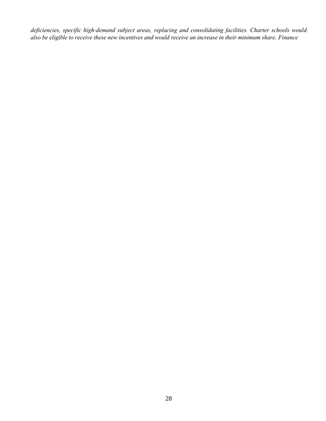*deficiencies, specific high-demand subject areas, replacing and consolidating facilities. Charter schools would also be eligible to receive these new incentives and would receive an increase in their minimum share. Finance*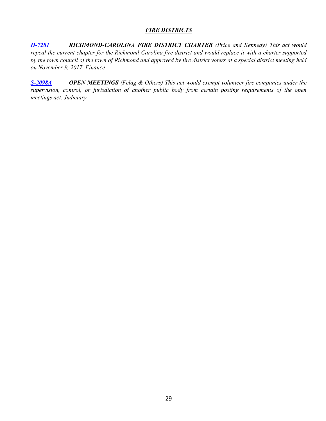## *FIRE DISTRICTS*

<span id="page-28-0"></span>*[H-7281](http://webserver.rilin.state.ri.us/BillText/BillText18/HouseText18/H7281.pdf) RICHMOND-CAROLINA FIRE DISTRICT CHARTER (Price and Kennedy) This act would repeal the current chapter for the Richmond-Carolina fire district and would replace it with a charter supported by the town council of the town of Richmond and approved by fire district voters at a special district meeting held on November 9, 2017. Finance*

*[S-2098A](http://webserver.rilin.state.ri.us/BillText/BillText18/SenateText18/S2098A.pdf) OPEN MEETINGS (Felag & Others) This act would exempt volunteer fire companies under the supervision, control, or jurisdiction of another public body from certain posting requirements of the open meetings act. Judiciary*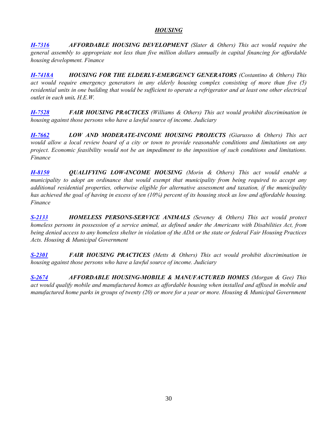## *HOUSING*

<span id="page-29-0"></span>*[H-7316](http://webserver.rilin.state.ri.us/BillText/BillText18/HouseText18/H7316.pdf) AFFORDABLE HOUSING DEVELOPMENT (Slater & Others) This act would require the general assembly to appropriate not less than five million dollars annually in capital financing for affordable housing development. Finance*

*[H-7418A](http://webserver.rilin.state.ri.us/BillText/BillText18/HouseText18/H7418A.pdf) HOUSING FOR THE ELDERLY-EMERGENCY GENERATORS (Costantino & Others) This act would require emergency generators in any elderly housing complex consisting of more than five (5) residential units in one building that would be sufficient to operate a refrigerator and at least one other electrical outlet in each unit. H.E.W.*

*[H-7528](http://webserver.rilin.state.ri.us/BillText/BillText18/HouseText18/H7528.pdf) FAIR HOUSING PRACTICES (Williams & Others) This act would prohibit discrimination in housing against those persons who have a lawful source of income. Judiciary*

*[H-7662](http://webserver.rilin.state.ri.us/BillText/BillText18/HouseText18/H7662.pdf) LOW AND MODERATE-INCOME HOUSING PROJECTS (Giarusso & Others) This act would allow a local review board of a city or town to provide reasonable conditions and limitations on any project. Economic feasibility would not be an impediment to the imposition of such conditions and limitations. Finance*

*[H-8150](http://webserver.rilin.state.ri.us/BillText/BillText18/HouseText18/H8150.pdf) QUALIFYING LOW-INCOME HOUSING (Morin & Others) This act would enable a municipality to adopt an ordinance that would exempt that municipality from being required to accept any additional residential properties, otherwise eligible for alternative assessment and taxation, if the municipality has achieved the goal of having in excess of ten (10%) percent of its housing stock as low and affordable housing. Finance*

*[S-2133](http://webserver.rilin.state.ri.us/BillText/BillText18/SenateText18/S2133.pdf) HOMELESS PERSONS-SERVICE ANIMALS (Seveney & Others) This act would protect homeless persons in possession of a service animal, as defined under the Americans with Disabilities Act, from being denied access to any homeless shelter in violation of the ADA or the state or federal Fair Housing Practices Acts. Housing & Municipal Government*

*[S-2301](http://webserver.rilin.state.ri.us/BillText/BillText18/SenateText18/S2301.pdf) FAIR HOUSING PRACTICES (Metts & Others) This act would prohibit discrimination in housing against those persons who have a lawful source of income. Judiciary*

*[S-2674](http://webserver.rilin.state.ri.us/BillText/BillText18/SenateText18/S2674.pdf) AFFORDABLE HOUSING-MOBILE & MANUFACTURED HOMES (Morgan & Gee) This act would qualify mobile and manufactured homes as affordable housing when installed and affixed in mobile and manufactured home parks in groups of twenty (20) or more for a year or more. Housing & Municipal Government*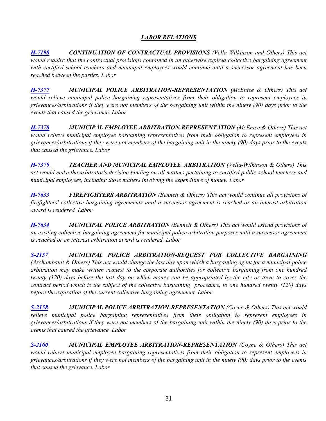# *LABOR RELATIONS*

<span id="page-30-0"></span>*[H-7198](http://webserver.rilin.state.ri.us/BillText/BillText18/HouseText18/H7198.pdf) CONTINUATION OF CONTRACTUAL PROVISIONS (Vella-Wilkinson and Others) This act would require that the contractual provisions contained in an otherwise expired collective bargaining agreement with certified school teachers and municipal employees would continue until a successor agreement has been reached between the parties. Labor*

*[H-7377](http://webserver.rilin.state.ri.us/BillText/BillText18/HouseText18/H7377.pdf) MUNICIPAL POLICE ARBITRATION-REPRESENTATION (McEntee & Others) This act would relieve municipal police bargaining representatives from their obligation to represent employees in grievances/arbitrations if they were not members of the bargaining unit within the ninety (90) days prior to the events that caused the grievance. Labor*

*[H-7378](http://webserver.rilin.state.ri.us/BillText/BillText18/HouseText18/H7378.pdf) MUNICIPAL EMPLOYEE ARBITRATION-REPRESENTATION (McEntee & Others) This act would relieve municipal employee bargaining representatives from their obligation to represent employees in grievances/arbitrations if they were not members of the bargaining unit in the ninety (90) days prior to the events that caused the grievance. Labor*

*[H-7379](http://webserver.rilin.state.ri.us/BillText/BillText18/HouseText18/H7380.pdf) TEACHER AND MUNICIPAL EMPLOYEE ARBITRATION (Vella-Wilkinson & Others) This act would make the arbitrator's decision binding on all matters pertaining to certified public-school teachers and municipal employees, including those matters involving the expenditure of money. Labor*

*[H-7633](http://webserver.rilin.state.ri.us/BillText/BillText18/HouseText18/H7633.pdf) FIREFIGHTERS ARBITRATION (Bennett & Others) This act would continue all provisions of firefighters' collective bargaining agreements until a successor agreement is reached or an interest arbitration award is rendered. Labor*

*[H-7634](http://webserver.rilin.state.ri.us/BillText/BillText18/HouseText18/H7634.pdf) MUNICIPAL POLICE ARBITRATION (Bennett & Others) This act would extend provisions of an existing collective bargaining agreement for municipal police arbitration purposes until a successor agreement is reached or an interest arbitration award is rendered. Labor*

*[S-2157](http://webserver.rilin.state.ri.us/BillText/BillText18/SenateText18/S2157.pdf) MUNICIPAL POLICE ARBITRATION-REQUEST FOR COLLECTIVE BARGAINING (Archambault & Others) This act would change the last day upon which a bargaining agent for a municipal police arbitration may make written request to the corporate authorities for collective bargaining from one hundred twenty (120) days before the last day on which money can be appropriated by the city or town to cover the contract period which is the subject of the collective bargaining procedure, to one hundred twenty (120) days before the expiration of the current collective bargaining agreement. Labor*

*[S-2158](http://webserver.rilin.state.ri.us/BillText/BillText18/SenateText18/S2158.pdf) MUNICIPAL POLICE ARBITRATION-REPRESENTATION (Coyne & Others) This act would relieve municipal police bargaining representatives from their obligation to represent employees in grievances/arbitrations if they were not members of the bargaining unit within the ninety (90) days prior to the events that caused the grievance. Labor*

*[S-2160](http://webserver.rilin.state.ri.us/BillText/BillText18/SenateText18/S2160.pdf) MUNICIPAL EMPLOYEE ARBITRATION-REPRESENTATION (Coyne & Others) This act would relieve municipal employee bargaining representatives from their obligation to represent employees in grievances/arbitrations if they were not members of the bargaining unit in the ninety (90) days prior to the events that caused the grievance. Labor*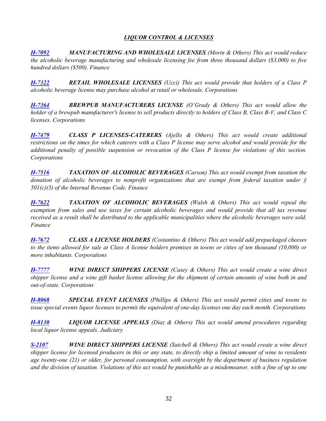# *LIQUOR CONTROL & LICENSES*

<span id="page-31-0"></span>*[H-7092](http://webserver.rilin.state.ri.us/BillText/BillText18/HouseText18/H7092.pdf) MANUFACTURING AND WHOLESALE LICENSES (Morin & Others) This act would reduce the alcoholic beverage manufacturing and wholesale licensing fee from three thousand dollars (\$3,000) to five hundred dollars (\$500). Finance*

*[H-7322](http://webserver.rilin.state.ri.us/BillText/BillText18/HouseText18/H7322.pdf) RETAIL WHOLESALE LICENSES (Ucci) This act would provide that holders of a Class P alcoholic beverage license may purchase alcohol at retail or wholesale. Corporations*

*[H-7364](http://webserver.rilin.state.ri.us/BillText/BillText18/HouseText18/H7364.pdf) BREWPUB MANUFACTURERS LICENSE (O'Grady & Others) This act would allow the holder of a brewpub manufacturer's license to sell products directly to holders of Class B, Class B-V, and Class C licenses. Corporations*

*[H-7479](http://webserver.rilin.state.ri.us/BillText/BillText18/HouseText18/H7479.pdf) CLASS P LICENSES-CATERERS (Ajello & Others) This act would create additional restrictions on the times for which caterers with a Class P license may serve alcohol and would provide for the additional penalty of possible suspension or revocation of the Class P license for violations of this section. Corporations*

*[H-7516](http://webserver.rilin.state.ri.us/BillText/BillText18/HouseText18/H7516.pdf) TAXATION OF ALCOHOLIC BEVERAGES (Carson) This act would exempt from taxation the donation of alcoholic beverages to nonprofit organizations that are exempt from federal taxation under § 501(c)(3) of the Internal Revenue Code. Finance*

*[H-7622](http://webserver.rilin.state.ri.us/BillText/BillText18/HouseText18/H7622.pdf) TAXATION OF ALCOHOLIC BEVERAGES (Walsh & Others) This act would repeal the exemption from sales and use taxes for certain alcoholic beverages and would provide that all tax revenue received as a result shall be distributed to the applicable municipalities where the alcoholic beverages were sold. Finance*

*[H-7672](http://webserver.rilin.state.ri.us/BillText/BillText18/HouseText18/H7672.pdf) CLASS A LICENSE HOLDERS (Costantino & Others) This act would add prepackaged cheeses to the items allowed for sale at Class A license holders premises in towns or cities of ten thousand (10,000) or more inhabitants. Corporations*

*[H-7777](http://webserver.rilin.state.ri.us/BillText/BillText18/HouseText18/H7777.pdf) WINE DIRECT SHIPPERS LICENSE (Casey & Others) This act would create a wine direct shipper license and a wine gift basket license allowing for the shipment of certain amounts of wine both in and out-of-state. Corporations*

*[H-8068](http://webserver.rilin.state.ri.us/BillText/BillText18/HouseText18/H8068.pdf) SPECIAL EVENT LICENSES (Phillips & Others) This act would permit cities and towns to issue special events liquor licenses to permit the equivalent of one-day licenses one day each month. Corporations*

*[H-8130](http://webserver.rilin.state.ri.us/BillText/BillText18/HouseText18/H8130.pdf) LIQUOR LICENSE APPEALS (Diaz & Others) This act would amend procedures regarding local liquor license appeals. Judiciary*

*[S-2107](http://webserver.rilin.state.ri.us/BillText/BillText18/SenateText18/S2107.pdf) WINE DIRECT SHIPPERS LICENSE (Satchell & Others) This act would create a wine direct shipper license for licensed producers in this or any state, to directly ship a limited amount of wine to residents age twenty-one (21) or older, for personal consumption, with oversight by the department of business regulation and the division of taxation. Violations of this act would be punishable as a misdemeanor, with a fine of up to one*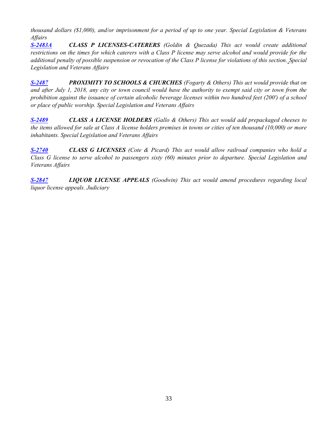*thousand dollars (\$1,000), and/or imprisonment for a period of up to one year. Special Legislation & Veterans Affairs*

*[S-2483A](http://webserver.rilin.state.ri.us/BillText18/SenateText18/S2483A.pdf) CLASS P LICENSES-CATERERS (Goldin & Quezada) This act would create additional restrictions on the times for which caterers with a Class P license may serve alcohol and would provide for the additional penalty of possible suspension or revocation of the Class P license for violations of this section. Special Legislation and Veterans Affairs*

*[S-2487](http://webserver.rilin.state.ri.us/BillText/BillText18/SenateText18/S2487.pdf) PROXIMITY TO SCHOOLS & CHURCHES (Fogarty & Others) This act would provide that on and after July 1, 2018, any city or town council would have the authority to exempt said city or town from the prohibition against the issuance of certain alcoholic beverage licenses within two hundred feet (200') of a school or place of public worship. Special Legislation and Veterans Affairs*

*[S-2489](http://webserver.rilin.state.ri.us/BillText/BillText18/SenateText18/S2489.pdf) CLASS A LICENSE HOLDERS (Gallo & Others) This act would add prepackaged cheeses to the items allowed for sale at Class A license holders premises in towns or cities of ten thousand (10,000) or more inhabitants. Special Legislation and Veterans Affairs*

*[S-2740](http://webserver.rilin.state.ri.us/BillText/BillText18/SenateText18/S2740.pdf) CLASS G LICENSES (Cote & Picard) This act would allow railroad companies who hold a Class G license to serve alcohol to passengers sixty (60) minutes prior to departure. Special Legislation and Veterans Affairs*

*[S-2847](http://webserver.rilin.state.ri.us/BillText/BillText18/SenateText18/S2847.pdf) LIQUOR LICENSE APPEALS (Goodwin) This act would amend procedures regarding local liquor license appeals. Judiciary*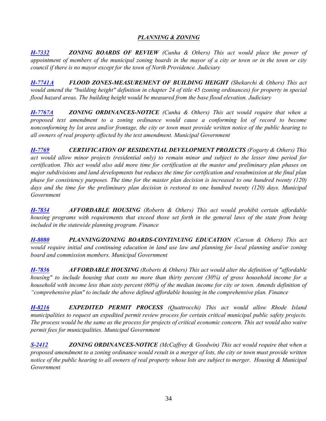## *PLANNING & ZONING*

<span id="page-33-0"></span>*[H-7332](http://webserver.rilin.state.ri.us/BillText/BillText18/HouseText18/H7332.pdf) ZONING BOARDS OF REVIEW (Cunha & Others) This act would place the power of appointment of members of the municipal zoning boards in the mayor of a city or town or in the town or city council if there is no mayor except for the town of North Providence. Judiciary*

*[H-7741A](http://webserver.rilin.state.ri.us/BillText/BillText18/HouseText18/H7741A.pdf) FLOOD ZONES-MEASUREMENT OF BUILDING HEIGHT (Shekarchi & Others) This act would amend the "building height" definition in chapter 24 of title 45 (zoning ordinances) for property in special flood hazard areas. The building height would be measured from the base flood elevation. Judiciary*

*[H-7767A](http://webserver.rilin.state.ri.us/BillText/BillText18/HouseText18/H7767Aaa.pdf) ZONING ORDINANCES-NOTICE (Cunha & Others) This act would require that when a proposed text amendment to a zoning ordinance would cause a conforming lot of record to become nonconforming by lot area and/or frontage, the city or town must provide written notice of the public hearing to all owners of real property affected by the text amendment. Municipal Government*

*[H-7769](http://webserver.rilin.state.ri.us/BillText/BillText18/HouseText18/H7769.pdf) CERTIFICATION OF RESIDENTIAL DEVELOPMENT PROJECTS (Fogarty & Others) This act would allow minor projects (residential only) to remain minor and subject to the lesser time period for certification. This act would also add more time for certification at the master and preliminary plan phases on major subdivisions and land developments but reduces the time for certification and resubmission at the final plan phase for consistency purposes. The time for the master plan decision is increased to one hundred twenty (120) days and the time for the preliminary plan decision is restored to one hundred twenty (120) days. Municipal Government*

*[H-7834](http://webserver.rilin.state.ri.us/BillText/BillText18/HouseText18/H7834.pdf) AFFORDABLE HOUSING (Roberts & Others) This act would prohibit certain affordable housing programs with requirements that exceed those set forth in the general laws of the state from being included in the statewide planning program. Finance*

*[H-8080](http://webserver.rilin.state.ri.us/BillText/BillText18/HouseText18/H8080.pdf) PLANNING/ZONING BOARDS-CONTINUING EDUCATION (Carson & Others) This act would require initial and continuing education in land use law and planning for local planning and/or zoning board and commission members. Municipal Government*

*[H-7836](http://webserver.rilin.state.ri.us/BillText/BillText18/HouseText18/H7836.pdf) AFFORDABLE HOUSING (Roberts & Others) This act would alter the definition of "affordable housing" to include housing that costs no more than thirty percent (30%) of gross household income for a household with income less than sixty percent (60%) of the median income for city or town. Amends definition of "comprehensive plan" to include the above defined affordable housing in the comprehensive plan. Finance*

*[H-8216](http://webserver.rilin.state.ri.us/BillText/BillText18/HouseText18/H8216.pdf) EXPEDITED PERMIT PROCESS (Quattrocchi) This act would allow Rhode Island municipalities to request an expedited permit review process for certain critical municipal public safety projects. The process would be the same as the process for projects of critical economic concern. This act would also waive permit fees for municipalities. Municipal Government*

*[S-2412](http://webserver.rilin.state.ri.us/BillText/BillText18/SenateText18/S2412.pdf) ZONING ORDINANCES-NOTICE (McCaffrey & Goodwin) This act would require that when a proposed amendment to a zoning ordinance would result in a merger of lots, the city or town must provide written notice of the public hearing to all owners of real property whose lots are subject to merger. Housing & Municipal Government*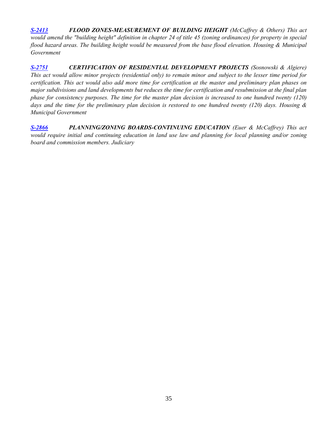*[S-2413](http://webserver.rilin.state.ri.us/BillText/BillText18/SenateText18/S2413.pdf) FLOOD ZONES-MEASUREMENT OF BUILDING HEIGHT (McCaffrey & Others) This act would amend the "building height" definition in chapter 24 of title 45 (zoning ordinances) for property in special flood hazard areas. The building height would be measured from the base flood elevation. Housing & Municipal Government*

*[S-2751](http://webserver.rilin.state.ri.us/BillText/BillText18/SenateText18/S2751.pdf) CERTIFICATION OF RESIDENTIAL DEVELOPMENT PROJECTS (Sosnowski & Algiere) This act would allow minor projects (residential only) to remain minor and subject to the lesser time period for certification. This act would also add more time for certification at the master and preliminary plan phases on major subdivisions and land developments but reduces the time for certification and resubmission at the final plan*  phase for consistency purposes. The time for the master plan decision is increased to one hundred twenty (120) *days and the time for the preliminary plan decision is restored to one hundred twenty (120) days. Housing & Municipal Government*

*[S-2866](http://webserver.rilin.state.ri.us/BillText/BillText18/SenateText18/S2866.pdf) PLANNING/ZONING BOARDS-CONTINUING EDUCATION (Euer & McCaffrey) This act would require initial and continuing education in land use law and planning for local planning and/or zoning board and commission members. Judiciary*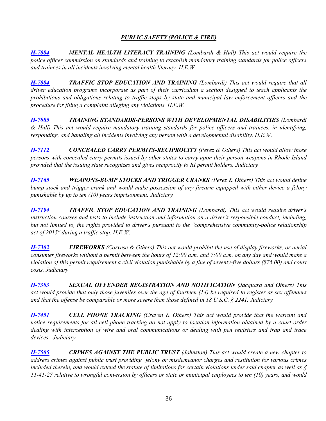# *PUBLIC SAFETY (POLICE & FIRE)*

<span id="page-35-0"></span>*[H-7084](http://webserver.rilin.state.ri.us/BillText/BillText18/HouseText18/H7083.pdf) MENTAL HEALTH LITERACY TRAINING (Lombardi & Hull) This act would require the police officer commission on standards and training to establish mandatory training standards for police officers and trainees in all incidents involving mental health literacy. H.E.W.*

*[H-7084](http://webserver.rilin.state.ri.us/BillText/BillText18/HouseText18/H7084.pdf) TRAFFIC STOP EDUCATION AND TRAINING (Lombardi) This act would require that all driver education programs incorporate as part of their curriculum a section designed to teach applicants the prohibitions and obligations relating to traffic stops by state and municipal law enforcement officers and the procedure for filing a complaint alleging any violations. H.E.W.*

*[H-7085](http://webserver.rilin.state.ri.us/BillText/BillText18/HouseText18/H7085.pdf) TRAINING STANDARDS-PERSONS WITH DEVELOPMENTAL DISABILITIES (Lombardi & Hull) This act would require mandatory training standards for police officers and trainees, in identifying, responding, and handling all incidents involving any person with a developmental disability. H.E.W.*

*[H-7112](http://webserver.rilin.state.ri.us/BillText/BillText18/HouseText18/H7112.pdf) CONCEALED CARRY PERMITS-RECIPROCITY (Perez & Others) This act would allow those persons with concealed carry permits issued by other states to carry upon their person weapons in Rhode Island provided that the issuing state recognizes and gives reciprocity to RI permit holders. Judiciary*

*[H-7165](http://webserver.rilin.state.ri.us/BillText/BillText18/HouseText18/H7165.pdf) WEAPONS-BUMP STOCKS AND TRIGGER CRANKS (Perez & Others) This act would define bump stock and trigger crank and would make possession of any firearm equipped with either device a felony punishable by up to ten (10) years imprisonment. Judiciary*

*[H-7194](http://webserver.rilin.state.ri.us/BillText/BillText18/HouseText18/H7194.pdf) TRAFFIC STOP EDUCATION AND TRAINING (Lombardi) This act would require driver's instruction courses and tests to include instruction and information on a driver's responsible conduct, including, but not limited to, the rights provided to driver's pursuant to the "comprehensive community-police relationship act of 2015" during a traffic stop. H.E.W.*

*[H-7302](http://webserver.rilin.state.ri.us/BillText/BillText18/HouseText18/H7302.pdf) FIREWORKS (Corvese & Others) This act would prohibit the use of display fireworks, or aerial consumer fireworks without a permit between the hours of 12:00 a.m. and 7:00 a.m. on any day and would make a violation of this permit requirement a civil violation punishable by a fine of seventy-five dollars (\$75.00) and court costs. Judiciary*

*[H-7303](http://webserver.rilin.state.ri.us/BillText/BillText18/HouseText18/H7303.pdf) SEXUAL OFFENDER REGISTRATION AND NOTIFICATION (Jacquard and Others) This act would provide that only those juveniles over the age of fourteen (14) be required to register as sex offenders and that the offense be comparable or more severe than those defined in 18 U.S.C. § 2241. Judiciary*

*[H-7451](http://webserver.rilin.state.ri.us/BillText/BillText18/HouseText18/H7451.pdf) CELL PHONE TRACKING (Craven & Others) This act would provide that the warrant and notice requirements for all cell phone tracking do not apply to location information obtained by a court order dealing with interception of wire and oral communications or dealing with pen registers and trap and trace devices. Judiciary*

*[H-7505](http://webserver.rilin.state.ri.us/BillText/BillText18/HouseText18/H7505.pdf) CRIMES AGAINST THE PUBLIC TRUST (Johnston) This act would create a new chapter to address crimes against public trust providing felony or misdemeanor charges and restitution for various crimes included therein, and would extend the statute of limitations for certain violations under said chapter as well as § 11-41-27 relative to wrongful conversion by officers or state or municipal employees to ten (10) years, and would*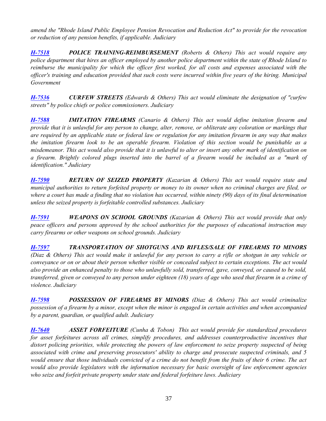*amend the "Rhode Island Public Employee Pension Revocation and Reduction Act" to provide for the revocation or reduction of any pension benefits, if applicable. Judiciary*

*[H-7518](http://webserver.rilin.state.ri.us/BillText/BillText18/HouseText18/H7518.pdf) POLICE TRAINING-REIMBURSEMENT (Roberts & Others) This act would require any police department that hires an officer employed by another police department within the state of Rhode Island to reimburse the municipality for which the officer first worked, for all costs and expenses associated with the officer's training and education provided that such costs were incurred within five years of the hiring. Municipal Government*

*[H-7536](http://webserver.rilin.state.ri.us/BillText/BillText18/HouseText18/H7536.pdf) CURFEW STREETS (Edwards & Others) This act would eliminate the designation of "curfew streets" by police chiefs or police commissioners. Judiciary*

*[H-7588](http://webserver.rilin.state.ri.us/BillText/BillText18/HouseText18/H7588.pdf) IMITATION FIREARMS (Canario & Others) This act would define imitation firearm and provide that it is unlawful for any person to change, alter, remove, or obliterate any coloration or markings that are required by an applicable state or federal law or regulation for any imitation firearm in any way that makes the imitation firearm look to be an operable firearm. Violation of this section would be punishable as a misdemeanor. This act would also provide that it is unlawful to alter or insert any other mark of identification on a firearm. Brightly colored plugs inserted into the barrel of a firearm would be included as a "mark of identification." Judiciary* 

*[H-7590](http://webserver.rilin.state.ri.us/BillText/BillText18/HouseText18/H7590.pdf) RETURN OF SEIZED PROPERTY (Kazarian & Others) This act would require state and municipal authorities to return forfeited property or money to its owner when no criminal charges are filed, or where a court has made a finding that no violation has occurred, within ninety (90) days of its final determination unless the seized property is forfeitable controlled substances. Judiciary*

*[H-7591](http://webserver.rilin.state.ri.us/BillText/BillText18/HouseText18/H7591.pdf) WEAPONS ON SCHOOL GROUNDS (Kazarian & Others) This act would provide that only peace officers and persons approved by the school authorities for the purposes of educational instruction may carry firearms or other weapons on school grounds. Judiciary*

*[H-7597](http://webserver.rilin.state.ri.us/BillText/BillText18/HouseText18/H7597.pdf) TRANSPORTATION OF SHOTGUNS AND RIFLES/SALE OF FIREARMS TO MINORS (Diaz & Others) This act would make it unlawful for any person to carry a rifle or shotgun in any vehicle or conveyance or on or about their person whether visible or concealed subject to certain exceptions. The act would also provide an enhanced penalty to those who unlawfully sold, transferred, gave, conveyed, or caused to be sold, transferred, given or conveyed to any person under eighteen (18) years of age who used that firearm in a crime of violence. Judiciary*

*[H-7598](http://webserver.rilin.state.ri.us/BillText/BillText18/HouseText18/H7598.pdf) POSSESSION OF FIREARMS BY MINORS (Diaz & Others) This act would criminalize possession of a firearm by a minor, except when the minor is engaged in certain activities and when accompanied by a parent, guardian, or qualified adult. Judiciary*

*[H-7640](http://webserver.rilin.state.ri.us/BillText/BillText18/HouseText18/H7640.pdf) ASSET FORFEITURE (Cunha & Tobon) This act would provide for standardized procedures for asset forfeitures across all crimes, simplify procedures, and addresses counterproductive incentives that distort policing priorities, while protecting the powers of law enforcement to seize property suspected of being associated with crime and preserving prosecutors' ability to charge and prosecute suspected criminals, and 5 would ensure that those individuals convicted of a crime do not benefit from the fruits of their 6 crime. The act would also provide legislators with the information necessary for basic oversight of law enforcement agencies who seize and forfeit private property under state and federal forfeiture laws. Judiciary*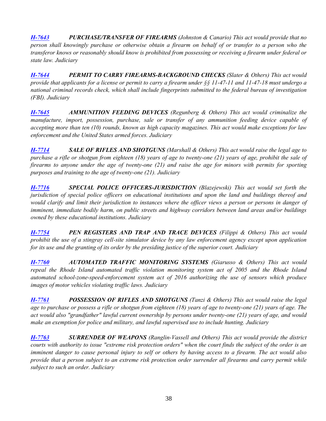*[H-7643](http://webserver.rilin.state.ri.us/BillText/BillText18/HouseText18/H7643.pdf) PURCHASE/TRANSFER OF FIREARMS (Johnston & Canario) This act would provide that no person shall knowingly purchase or otherwise obtain a firearm on behalf of or transfer to a person who the transferor knows or reasonably should know is prohibited from possessing or receiving a firearm under federal or state law. Judiciary*

*[H-7644](http://webserver.rilin.state.ri.us/BillText/BillText18/HouseText18/H7644.pdf) PERMIT TO CARRY FIREARMS-BACKGROUND CHECKS (Slater & Others) This act would provide that applicants for a license or permit to carry a firearm under §§ 11-47-11 and 11-47-18 must undergo a national criminal records check, which shall include fingerprints submitted to the federal bureau of investigation (FBI). Judiciary*

*[H-7645](http://webserver.rilin.state.ri.us/BillText/BillText18/HouseText18/H7645.pdf) AMMUNITION FEEDING DEVICES (Regunberg & Others) This act would criminalize the manufacture, import, possession, purchase, sale or transfer of any ammunition feeding device capable of accepting more than ten (10) rounds, known as high capacity magazines. This act would make exceptions for law enforcement and the United States armed forces. Judiciary*

*[H-7714](http://webserver.rilin.state.ri.us/BillText/BillText18/HouseText18/H7714.pdf) SALE OF RIFLES AND SHOTGUNS (Marshall & Others) This act would raise the legal age to purchase a rifle or shotgun from eighteen (18) years of age to twenty-one (21) years of age, prohibit the sale of firearms to anyone under the age of twenty-one (21) and raise the age for minors with permits for sporting purposes and training to the age of twenty-one (21). Judiciary*

*[H-7716](http://webserver.rilin.state.ri.us/BillText/BillText18/HouseText18/H7716.pdf) SPECIAL POLICE OFFICERS-JURISDICTION (Blazejewski) This act would set forth the jurisdiction of special police officers on educational institutions and upon the land and buildings thereof and would clarify and limit their jurisdiction to instances where the officer views a person or persons in danger of imminent, immediate bodily harm, on public streets and highway corridors between land areas and/or buildings owned by these educational institutions. Judiciary*

*[H-7754](http://webserver.rilin.state.ri.us/BillText/BillText18/HouseText18/H7754.pdf) PEN REGISTERS AND TRAP AND TRACE DEVICES (Filippi & Others) This act would prohibit the use of a stingray cell-site simulator device by any law enforcement agency except upon application for its use and the granting of its order by the presiding justice of the superior court. Judiciary*

*[H-7760](http://webserver.rilin.state.ri.us/BillText/BillText18/HouseText18/H7760.pdf) AUTOMATED TRAFFIC MONITORING SYSTEMS (Giarusso & Others) This act would repeal the Rhode Island automated traffic violation monitoring system act of 2005 and the Rhode Island automated school-zone-speed-enforcement system act of 2016 authorizing the use of sensors which produce images of motor vehicles violating traffic laws. Judiciary*

*[H-7761](http://webserver.rilin.state.ri.us/BillText/BillText18/HouseText18/H7761.pdf) POSSESSION OF RIFLES AND SHOTGUNS (Tanzi & Others) This act would raise the legal age to purchase or possess a rifle or shotgun from eighteen (18) years of age to twenty-one (21) years of age. The act would also "grandfather" lawful current ownership by persons under twenty-one (21) years of age, and would make an exemption for police and military, and lawful supervised use to include hunting. Judiciary*

*[H-7763](http://webserver.rilin.state.ri.us/BillText/BillText18/HouseText18/H7763.pdf) SURRENDER OF WEAPONS (Ranglin-Vassell and Others) This act would provide the district courts with authority to issue "extreme risk protection orders" when the court finds the subject of the order is an imminent danger to cause personal injury to self or others by having access to a firearm. The act would also provide that a person subject to an extreme risk protection order surrender all firearms and carry permit while subject to such an order. Judiciary*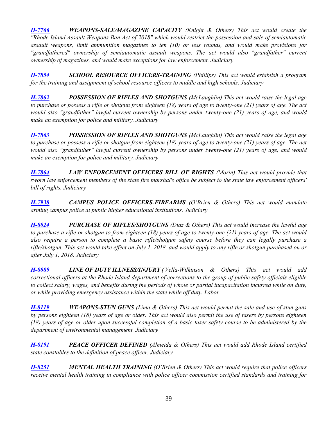*[H-7766](http://webserver.rilin.state.ri.us/BillText/BillText18/HouseText18/H7766.pdf) WEAPONS-SALE/MAGAZINE CAPACITY (Knight & Others) This act would create the "Rhode Island Assault Weapons Ban Act of 2018" which would restrict the possession and sale of semiautomatic assault weapons, limit ammunition magazines to ten (10) or less rounds, and would make provisions for "grandfathered" ownership of semiautomatic assault weapons. The act would also "grandfather" current ownership of magazines, and would make exceptions for law enforcement. Judiciary* 

*[H-7854](http://webserver.rilin.state.ri.us/BillText/BillText18/HouseText18/H7854.pdf) SCHOOL RESOURCE OFFICERS-TRAINING (Phillips) This act would establish a program for the training and assignment of school resource officers to middle and high schools. Judiciary*

*[H-7862](http://webserver.rilin.state.ri.us/BillText/BillText18/HouseText18/H7862.pdf) POSSESSION OF RIFLES AND SHOTGUNS (McLaughlin) This act would raise the legal age to purchase or possess a rifle or shotgun from eighteen (18) years of age to twenty-one (21) years of age. The act would also "grandfather" lawful current ownership by persons under twenty-one (21) years of age, and would make an exemption for police and military. Judiciary*

*[H-7863](http://webserver.rilin.state.ri.us/BillText/BillText18/HouseText18/H7863.pdf) POSSESSION OF RIFLES AND SHOTGUNS (McLaughlin) This act would raise the legal age to purchase or possess a rifle or shotgun from eighteen (18) years of age to twenty-one (21) years of age. The act would also "grandfather" lawful current ownership by persons under twenty-one (21) years of age, and would make an exemption for police and military. Judiciary*

*[H-7864](http://webserver.rilin.state.ri.us/BillText/BillText18/HouseText18/H7864.pdf) LAW ENFORCEMENT OFFICERS BILL OF RIGHTS (Morin) This act would provide that sworn law enforcement members of the state fire marshal's office be subject to the state law enforcement officers' bill of rights. Judiciary*

*[H-7938](http://webserver.rilin.state.ri.us/BillText/BillText18/HouseText18/H7938.pdf) CAMPUS POLICE OFFICERS-FIREARMS (O'Brien & Others) This act would mandate arming campus police at public higher educational institutions. Judiciary*

*[H-8024](http://webserver.rilin.state.ri.us/BillText/BillText18/HouseText18/H8024.pdf) PURCHASE OF RIFLES/SHOTGUNS (Diaz & Others) This act would increase the lawful age to purchase a rifle or shotgun to from eighteen (18) years of age to twenty-one (21) years of age. The act would also require a person to complete a basic rifle/shotgun safety course before they can legally purchase a rifle/shotgun. This act would take effect on July 1, 2018, and would apply to any rifle or shotgun purchased on or after July 1, 2018. Judiciary*

*[H-8089](http://webserver.rilin.state.ri.us/BillText/BillText18/HouseText18/H8089.pdf) LINE OF DUTY ILLNESS/INJURY ( Vella-Wilkinson & Others) This act would add correctional officers at the Rhode Island department of corrections to the group of public safety officials eligible to collect salary, wages, and benefits during the periods of whole or partial incapacitation incurred while on duty, or while providing emergency assistance within the state while off duty. Labor*

*[H-8119](http://webserver.rilin.state.ri.us/BillText/BillText18/HouseText18/H8119.pdf) WEAPONS-STUN GUNS (Lima & Others) This act would permit the sale and use of stun guns by persons eighteen (18) years of age or older. This act would also permit the use of tasers by persons eighteen (18) years of age or older upon successful completion of a basic taser safety course to be administered by the department of environmental management. Judiciary*

*[H-8191](http://webserver.rilin.state.ri.us/BillText/BillText18/HouseText18/H8191.pdf) PEACE OFFICER DEFINED (Almeida & Others) This act would add Rhode Island certified state constables to the definition of peace officer. Judiciary*

*[H-8251](http://webserver.rilin.state.ri.us/BillText/BillText18/HouseText18/H8251.pdf) MENTAL HEALTH TRAINING (O'Brien & Others) This act would require that police officers receive mental health training in compliance with police officer commission certified standards and training for*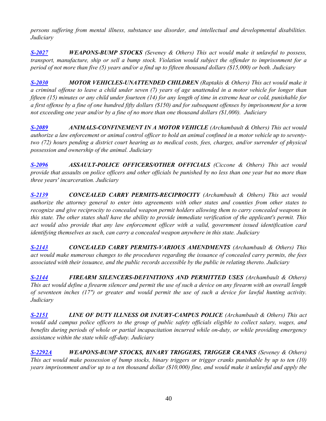*persons suffering from mental illness, substance use disorder, and intellectual and developmental disabilities. Judiciary*

*[S-2027](http://webserver.rilin.state.ri.us/BillText/BillText18/SenateText18/S2027.pdf) WEAPONS-BUMP STOCKS (Seveney & Others) This act would make it unlawful to possess, transport, manufacture, ship or sell a bump stock. Violation would subject the offender to imprisonment for a period of not more than five (5) years and/or a find up to fifteen thousand dollars (\$15,000) or both. Judiciary*

*[S-2030](http://webserver.rilin.state.ri.us/BillText/BillText18/SenateText18/S2030.pdf) MOTOR VEHICLES-UNATTENDED CHILDREN (Raptakis & Others) This act would make it a criminal offense to leave a child under seven (7) years of age unattended in a motor vehicle for longer than fifteen (15) minutes or any child under fourteen (14) for any length of time in extreme heat or cold, punishable for a first offense by a fine of one hundred fifty dollars (\$150) and for subsequent offenses by imprisonment for a term not exceeding one year and/or by a fine of no more than one thousand dollars (\$1,000). Judiciary* 

*[S-2089](http://webserver.rilin.state.ri.us/BillText/BillText18/SenateText18/S2089.pdf) ANIMALS-CONFINEMENT IN A MOTOR VEHICLE (Archambault & Others) This act would authorize a law enforcement or animal control officer to hold an animal confined in a motor vehicle up to seventytwo (72) hours pending a district court hearing as to medical costs, fees, charges, and/or surrender of physical possession and ownership of the animal. Judiciary*

*[S-2096](http://webserver.rilin.state.ri.us/BillText/BillText18/SenateText18/S2096.pdf) ASSAULT-POLICE OFFICERS/OTHER OFFICIALS (Ciccone & Others) This act would provide that assaults on police officers and other officials be punished by no less than one year but no more than three years' incarceration. Judiciary*

*[S-2139](http://webserver.rilin.state.ri.us/BillText/BillText18/SenateText18/S2139.pdf) CONCEALED CARRY PERMITS-RECIPROCITY (Archambault & Others) This act would authorize the attorney general to enter into agreements with other states and counties from other states to recognize and give reciprocity to concealed weapon permit holders allowing them to carry concealed weapons in this state. The other states shall have the ability to provide immediate verification of the applicant's permit. This act would also provide that any law enforcement officer with a valid, government issued identification card identifying themselves as such, can carry a concealed weapon anywhere in this state. Judiciary*

*[S-2143](http://webserver.rilin.state.ri.us/BillText/BillText18/SenateText18/S2143.pdf) CONCEALED CARRY PERMITS-VARIOUS AMENDMENTS (Archambault & Others) This act would make numerous changes to the procedures regarding the issuance of concealed carry permits, the fees associated with their issuance, and the public records accessible by the public in relating thereto. Judiciary*

*[S-2144](http://webserver.rilin.state.ri.us/BillText/BillText18/SenateText18/S2144.pdf) FIREARM SILENCERS-DEFINITIONS AND PERMITTED USES (Archambault & Others) This act would define a firearm silencer and permit the use of such a device on any firearm with an overall length of seventeen inches (17") or greater and would permit the use of such a device for lawful hunting activity. Judiciary*

*[S-2151](This%20act%20would%20require%20that%20vehicles%20towed%20because%20of%20state%20or%20municipal%20laws%20be%20towed%20to) LINE OF DUTY ILLNESS OR INJURY-CAMPUS POLICE (Archambault & Others) This act would add campus police officers to the group of public safety officials eligible to collect salary, wages, and benefits during periods of whole or partial incapacitation incurred while on-duty, or while providing emergency assistance within the state while off-duty. Judiciary*

*[S-2292A](http://webserver.rilin.state.ri.us/BillText/BillText18/SenateText18/S2292A.pdf) WEAPONS-BUMP STOCKS, BINARY TRIGGERS, TRIGGER CRANKS (Seveney & Others) This act would make possession of bump stocks, binary triggers or trigger cranks punishable by up to ten (10) years imprisonment and/or up to a ten thousand dollar (\$10,000) fine, and would make it unlawful and apply the*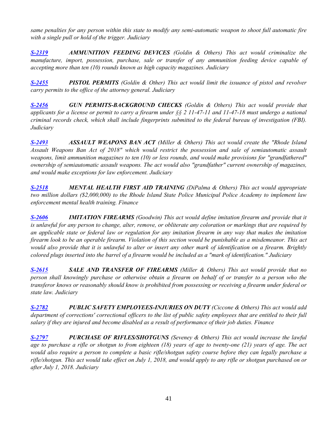*same penalties for any person within this state to modify any semi-automatic weapon to shoot full automatic fire with a single pull or hold of the trigger. Judiciary*

*[S-2319](http://webserver.rilin.state.ri.us/BillText/BillText18/SenateText18/S2319.pdf) AMMUNITION FEEDING DEVICES (Goldin & Others) This act would criminalize the manufacture, import, possession, purchase, sale or transfer of any ammunition feeding device capable of accepting more than ten (10) rounds known as high capacity magazines. Judiciary*

*[S-2455](http://webserver.rilin.state.ri.us/BillText/BillText18/SenateText18/S2455.pdf) PISTOL PERMITS (Goldin & Other) This act would limit the issuance of pistol and revolver carry permits to the office of the attorney general. Judiciary*

*[S-2456](http://webserver.rilin.state.ri.us/BillText/BillText18/SenateText18/S2456.pdf) GUN PERMITS-BACKGROUND CHECKS (Goldin & Others) This act would provide that applicants for a license or permit to carry a firearm under §§ 2 11-47-11 and 11-47-18 must undergo a national criminal records check, which shall include fingerprints submitted to the federal bureau of investigation (FBI). Judiciary*

*[S-2493](http://webserver.rilin.state.ri.us/BillText/BillText18/SenateText18/S2493.pdf) ASSAULT WEAPONS BAN ACT (Miller & Others) This act would create the "Rhode Island Assault Weapons Ban Act of 2018" which would restrict the possession and sale of semiautomatic assault weapons, limit ammunition magazines to ten (10) or less rounds, and would make provisions for "grandfathered" ownership of semiautomatic assault weapons. The act would also "grandfather" current ownership of magazines, and would make exceptions for law enforcement. Judiciary*

*[S-2518](http://webserver.rilin.state.ri.us/BillText/BillText18/SenateText18/S2518.pdf) MENTAL HEALTH FIRST AID TRAINING (DiPalma & Others) This act would appropriate two million dollars (\$2,000,000) to the Rhode Island State Police Municipal Police Academy to implement law enforcement mental health training. Finance*

*[S-2606](http://webserver.rilin.state.ri.us/BillText/BillText18/SenateText18/S2606.pdf) IMITATION FIREARMS (Goodwin) This act would define imitation firearm and provide that it is unlawful for any person to change, alter, remove, or obliterate any coloration or markings that are required by an applicable state or federal law or regulation for any imitation firearm in any way that makes the imitation firearm look to be an operable firearm. Violation of this section would be punishable as a misdemeanor. This act would also provide that it is unlawful to alter or insert any other mark of identification on a firearm. Brightly colored plugs inserted into the barrel of a firearm would be included as a "mark of identification." Judiciary*

*[S-2615](http://webserver.rilin.state.ri.us/BillText/BillText18/SenateText18/S2615.pdf) SALE AND TRANSFER OF FIREARMS (Miller & Others) This act would provide that no person shall knowingly purchase or otherwise obtain a firearm on behalf of or transfer to a person who the transferor knows or reasonably should know is prohibited from possessing or receiving a firearm under federal or state law. Judiciary*

*[S-2782](http://webserver.rilin.state.ri.us/BillText/BillText18/SenateText18/S2782.pdf) PUBLIC SAFETY EMPLOYEES-INJURIES ON DUTY (Ciccone & Others) This act would add department of corrections' correctional officers to the list of public safety employees that are entitled to their full salary if they are injured and become disabled as a result of performance of their job duties. Finance*

*[S-2797](http://webserver.rilin.state.ri.us/BillText/BillText18/SenateText18/S2797.pdf) PURCHASE OF RIFLES/SHOTGUNS (Seveney & Others) This act would increase the lawful age to purchase a rifle or shotgun to from eighteen (18) years of age to twenty-one (21) years of age. The act would also require a person to complete a basic rifle/shotgun safety course before they can legally purchase a rifle/shotgun. This act would take effect on July 1, 2018, and would apply to any rifle or shotgun purchased on or after July 1, 2018. Judiciary*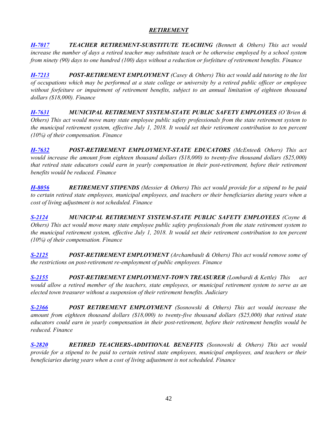# *RETIREMENT*

<span id="page-41-0"></span>*[H-7017](http://webserver.rilin.state.ri.us/BillText/BillText18/HouseText18/H7017.pdf) TEACHER RETIREMENT-SUBSTITUTE TEACHING (Bennett & Others) This act would increase the number of days a retired teacher may substitute teach or be otherwise employed by a school system from ninety (90) days to one hundred (100) days without a reduction or forfeiture of retirement benefits. Finance*

*[H-7213](http://webserver.rilin.state.ri.us/BillText/BillText18/HouseText18/H7213.pdf) POST-RETIREMENT EMPLOYMENT (Casey & Others) This act would add tutoring to the list of occupations which may be performed at a state college or university by a retired public officer or employee without forfeiture or impairment of retirement benefits, subject to an annual limitation of eighteen thousand dollars (\$18,000). Finance*

*[H-7631](http://webserver.rilin.state.ri.us/BillText/BillText18/HouseText18/H7631.pdf) MUNICIPAL RETIREMENT SYSTEM-STATE PUBLIC SAFETY EMPLOYEES (O'Brien & Others) This act would move many state employee public safety professionals from the state retirement system to the municipal retirement system, effective July 1, 2018. It would set their retirement contribution to ten percent (10%) of their compensation. Finance*

*[H-7632](http://webserver.rilin.state.ri.us/BillText/BillText18/HouseText18/H7632.pdf) POST-RETIREMENT EMPLOYMENT-STATE EDUCATORS (McEntee& Others) This act would increase the amount from eighteen thousand dollars (\$18,000) to twenty-five thousand dollars (\$25,000) that retired state educators could earn in yearly compensation in their post-retirement, before their retirement benefits would be reduced. Finance*

*[H-8056](http://webserver.rilin.state.ri.us/BillText/BillText18/HouseText18/H8056.pdf) RETIREMENT STIPENDS (Messier & Others) This act would provide for a stipend to be paid to certain retired state employees, municipal employees, and teachers or their beneficiaries during years when a cost of living adjustment is not scheduled. Finance*

*[S-2124](http://webserver.rilin.state.ri.us/BillText/BillText18/SenateText18/S2124.pdf) MUNICIPAL RETIREMENT SYSTEM-STATE PUBLIC SAFETY EMPLOYEES (Coyne & Others) This act would move many state employee public safety professionals from the state retirement system to the municipal retirement system, effective July 1, 2018. It would set their retirement contribution to ten percent (10%) of their compensation. Finance*

*[S-2125](http://webserver.rilin.state.ri.us/BillText/BillText18/SenateText18/S2125.pdf) POST-RETIREMENT EMPLOYMENT (Archambault & Others) This act would remove some of the restrictions on post-retirement re-employment of public employees. Finance*

*[S-2155](http://webserver.rilin.state.ri.us/BillText/BillText18/SenateText18/S2155.pdf) POST-RETIREMENT EMPLOYMENT-TOWN TREASURER (Lombardi & Kettle) This act would allow a retired member of the teachers, state employees, or municipal retirement system to serve as an elected town treasurer without a suspension of their retirement benefits. Judiciary*

*[S-2366](http://webserver.rilin.state.ri.us/BillText/BillText18/SenateText18/S2366.pdf) POST RETIREMENT EMPLOYMENT (Sosnowski & Others) This act would increase the amount from eighteen thousand dollars (\$18,000) to twenty-five thousand dollars (\$25,000) that retired state educators could earn in yearly compensation in their post-retirement, before their retirement benefits would be reduced. Finance*

*[S-2820](http://webserver.rilin.state.ri.us/BillText/BillText18/SenateText18/S2820.pdf) RETIRED TEACHERS-ADDITIONAL BENEFITS (Sosnowski & Others) This act would provide for a stipend to be paid to certain retired state employees, municipal employees, and teachers or their beneficiaries during years when a cost of living adjustment is not scheduled. Finance*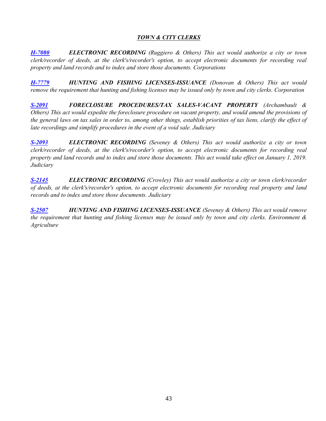## *TOWN & CITY CLERKS*

<span id="page-42-0"></span>*[H-7080](http://webserver.rilin.state.ri.us/BillText/BillText18/HouseText18/H7080.pdf) ELECTRONIC RECORDING (Ruggiero & Others) This act would authorize a city or town clerk/recorder of deeds, at the clerk's/recorder's option, to accept electronic documents for recording real property and land records and to index and store those documents. Corporations* 

*[H-7779](http://webserver.rilin.state.ri.us/BillText/BillText18/HouseText18/H7779.pdf) HUNTING AND FISHING LICENSES-ISSUANCE (Donovan & Others) This act would remove the requirement that hunting and fishing licenses may be issued only by town and city clerks. Corporation*

*[S-2091](http://webserver.rilin.state.ri.us/BillText/BillText18/SenateText18/S2091.pdf) FORECLOSURE PROCEDURES/TAX SALES-VACANT PROPERTY (Archambault & Others) This act would expedite the foreclosure procedure on vacant property, and would amend the provisions of the general laws on tax sales in order to, among other things, establish priorities of tax liens, clarify the effect of late recordings and simplify procedures in the event of a void sale. Judiciary*

*[S-2093](http://webserver.rilin.state.ri.us/BillText/BillText18/SenateText18/S2093.pdf) ELECTRONIC RECORDING (Seveney & Others) This act would authorize a city or town clerk/recorder of deeds, at the clerk's/recorder's option, to accept electronic documents for recording real property and land records and to index and store those documents. This act would take effect on January 1, 2019. Judiciary*

*[S-2145](http://webserver.rilin.state.ri.us/BillText/BillText18/SenateText18/S2145.pdf) ELECTRONIC RECORDING (Crowley) This act would authorize a city or town clerk/recorder of deeds, at the clerk's/recorder's option, to accept electronic documents for recording real property and land records and to index and store those documents. Judiciary*

<span id="page-42-1"></span>*[S-2507](http://webserver.rilin.state.ri.us/BillText/BillText18/SenateText18/S2507.pdf) HUNTING AND FISHING LICENSES-ISSUANCE (Seveney & Others) This act would remove the requirement that hunting and fishing licenses may be issued only by town and city clerks. Environment & Agriculture*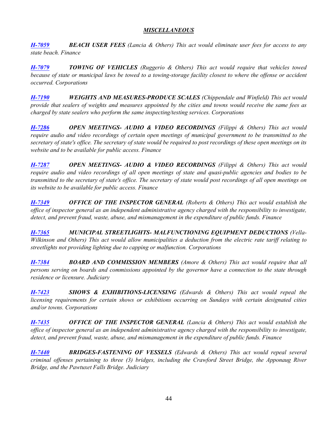## *MISCELLANEOUS*

*[H-7059](http://webserver.rilin.state.ri.us/BillText/BillText18/HouseText18/H7059.pdf) BEACH USER FEES (Lancia & Others) This act would eliminate user fees for access to any state beach. Finance*

*[H-7079](http://webserver.rilin.state.ri.us/BillText/BillText18/HouseText18/H7079.pdf) TOWING OF VEHICLES (Ruggerio & Others) This act would require that vehicles towed because of state or municipal laws be towed to a towing-storage facility closest to where the offense or accident occurred. Corporations*

*[H-7190](http://webserver.rilin.state.ri.us/BillText/BillText18/HouseText18/H7190.pdf) WEIGHTS AND MEASURES-PRODUCE SCALES (Chippendale and Winfield) This act would provide that sealers of weights and measures appointed by the cities and towns would receive the same fees as charged by state sealers who perform the same inspecting/testing services. Corporations*

*[H-7286](http://webserver.rilin.state.ri.us/BillText/BillText18/HouseText18/H7286.pdf) OPEN MEETINGS- AUDIO & VIDEO RECORDINGS (Filippi & Others) This act would require audio and video recordings of certain open meetings of municipal government to be transmitted to the secretary of state's office. The secretary of state would be required to post recordings of these open meetings on its website and to be available for public access. Finance*

*[H-7287](http://webserver.rilin.state.ri.us/BillText/BillText18/HouseText18/H7287.pdf) OPEN MEETINGS- AUDIO & VIDEO RECORDINGS (Filippi & Others) This act would require audio and video recordings of all open meetings of state and quasi-public agencies and bodies to be transmitted to the secretary of state's office. The secretary of state would post recordings of all open meetings on its website to be available for public access. Finance*

*[H-7349](http://webserver.rilin.state.ri.us/BillText/BillText18/HouseText18/H7349.pdf) OFFICE OF THE INSPECTOR GENERAL (Roberts & Others) This act would establish the office of inspector general as an independent administrative agency charged with the responsibility to investigate, detect, and prevent fraud, waste, abuse, and mismanagement in the expenditure of public funds. Finance*

*[H-7365](http://webserver.rilin.state.ri.us/BillText/BillText18/HouseText18/H7365.pdf) MUNICIPAL STREETLIGHTS- MALFUNCTIONING EQUIPMENT DEDUCTIONS (Vella-Wilkinson and Others) This act would allow municipalities a deduction from the electric rate tariff relating to streetlights not providing lighting due to capping or malfunction. Corporations*

*[H-7384](http://webserver.rilin.state.ri.us/BillText/BillText18/HouseText18/H7384.pdf) BOARD AND COMMISSION MEMBERS (Amore & Others) This act would require that all persons serving on boards and commissions appointed by the governor have a connection to the state through residence or licensure. Judiciary*

*[H-7423](http://webserver.rilin.state.ri.us/BillText/BillText18/HouseText18/H7423.pdf) SHOWS & EXHIBITIONS-LICENSING (Edwards & Others) This act would repeal the licensing requirements for certain shows or exhibitions occurring on Sundays with certain designated cities and/or towns. Corporations*

*[H-7435](http://webserver.rilin.state.ri.us/BillText/BillText18/HouseText18/H7435.pdf) OFFICE OF THE INSPECTOR GENERAL (Lancia & Others) This act would establish the office of inspector general as an independent administrative agency charged with the responsibility to investigate, detect, and prevent fraud, waste, abuse, and mismanagement in the expenditure of public funds. Finance*

*[H-7440](This%20act%20would%20repeal%20several%20criminal%20offenses%20pertaining%20to%20three%20(3)%20bridges,%20including) BRIDGES-FASTENING OF VESSELS (Edwards & Others) This act would repeal several criminal offenses pertaining to three (3) bridges, including the Crawford Street Bridge, the Apponaug River Bridge, and the Pawtuxet Falls Bridge. Judiciary*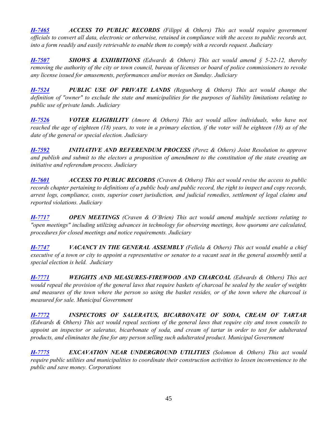*[H-7465](http://webserver.rilin.state.ri.us/BillText/BillText18/HouseText18/H7465.pdf) ACCESS TO PUBLIC RECORDS (Filippi & Others) This act would require government officials to convert all data, electronic or otherwise, retained in compliance with the access to public records act, into a form readily and easily retrievable to enable them to comply with a records request. Judiciary*

*[H-7507](http://webserver.rilin.state.ri.us/BillText/BillText18/HouseText18/H7507.pdf) SHOWS & EXHIBITIONS (Edwards & Others) This act would amend § 5-22-12, thereby removing the authority of the city or town council, bureau of licenses or board of police commissioners to revoke any license issued for amusements, performances and/or movies on Sunday. Judiciary*

*[H-7524](http://webserver.rilin.state.ri.us/BillText/BillText18/HouseText18/H7524.pdf) PUBLIC USE OF PRIVATE LANDS (Regunberg & Others) This act would change the definition of "owner" to exclude the state and municipalities for the purposes of liability limitations relating to public use of private lands. Judiciary*

*[H-7526](http://webserver.rilin.state.ri.us/BillText/BillText18/HouseText18/H7526.pdf) VOTER ELIGIBILITY (Amore & Others) This act would allow individuals, who have not reached the age of eighteen (18) years, to vote in a primary election, if the voter will be eighteen (18) as of the date of the general or special election. Judiciary*

*[H-7592](http://webserver.rilin.state.ri.us/BillText/BillText18/HouseText18/H7592.pdf) INITIATIVE AND REFERENDUM PROCESS (Perez & Others) Joint Resolution to approve and publish and submit to the electors a proposition of amendment to the constitution of the state creating an initiative and referendum process. Judiciary*

*[H-7601](http://webserver.rilin.state.ri.us/BillText/BillText18/HouseText18/H7601.pdf) ACCESS TO PUBLIC RECORDS (Craven & Others) This act would revise the access to public records chapter pertaining to definitions of a public body and public record, the right to inspect and copy records, arrest logs, compliance, costs, superior court jurisdiction, and judicial remedies, settlement of legal claims and reported violations. Judiciary*

*[H-7717](http://webserver.rilin.state.ri.us/BillText/BillText18/HouseText18/H7717.pdf) OPEN MEETINGS (Craven & O'Brien) This act would amend multiple sections relating to "open meetings" including utilizing advances in technology for observing meetings, how quorums are calculated, procedures for closed meetings and notice requirements. Judiciary*

*[H-7747](http://webserver.rilin.state.ri.us/BillText/BillText18/HouseText18/H7747.pdf) VACANCY IN THE GENERAL ASSEMBLY (Fellela & Others) This act would enable a chief executive of a town or city to appoint a representative or senator to a vacant seat in the general assembly until a special election is held. Judiciary*

*[H-7771](http://webserver.rilin.state.ri.us/BillText/BillText18/HouseText18/H7771.pdf) WEIGHTS AND MEASURES-FIREWOOD AND CHARCOAL (Edwards & Others) This act would repeal the provision of the general laws that require baskets of charcoal be sealed by the sealer of weights and measures of the town where the person so using the basket resides, or of the town where the charcoal is measured for sale. Municipal Government*

*[H-7772](http://webserver.rilin.state.ri.us/BillText/BillText18/HouseText18/H7772.pdf) INSPECTORS OF SALERATUS, BICARBONATE OF SODA, CREAM OF TARTAR (Edwards & Others) This act would repeal sections of the general laws that require city and town councils to appoint an inspector or saleratus, bicarbonate of soda, and cream of tartar in order to test for adulterated products, and eliminates the fine for any person selling such adulterated product. Municipal Government*

*[H-7775](http://webserver.rilin.state.ri.us/BillText/BillText18/HouseText18/H7775.pdf) EXCAVATION NEAR UNDERGROUND UTILITIES (Solomon & Others) This act would require public utilities and municipalities to coordinate their construction activities to lessen inconvenience to the public and save money. Corporations*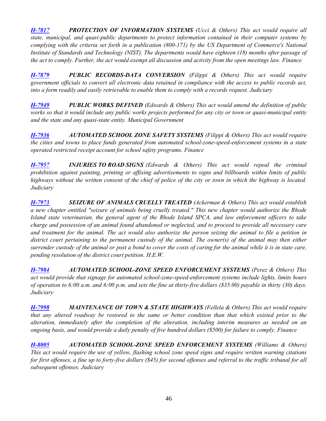*[H-7817](http://webserver.rilin.state.ri.us/BillText/BillText18/HouseText18/H7817.pdf) PROTECTION OF INFORMATION SYSTEMS (Ucci & Others) This act would require all state, municipal, and quasi-public departments to protect information contained in their computer systems by complying with the criteria set forth in a publication (800-171) by the US Department of Commerce's National Institute of Standards and Technology (NIST). The departments would have eighteen (18) months after passage of the act to comply. Further, the act would exempt all discussion and activity from the open meetings law. Finance*

*[H-7879](http://webserver.rilin.state.ri.us/BillText/BillText18/HouseText18/H7879.pdf) PUBLIC RECORDS-DATA CONVERSION (Filippi & Others) This act would require government officials to convert all electronic data retained in compliance with the access to public records act, into a form readily and easily retrievable to enable them to comply with a records request. Judiciary*

*[H-7949](http://webserver.rilin.state.ri.us/BillText/BillText18/HouseText18/H7949.pdf) PUBLIC WORKS DEFINED (Edwards & Others) This act would amend the definition of public works so that it would include any public works projects performed for any city or town or quasi-municipal entity and the state and any quasi-state entity. Municipal Government*

*[H-7936](http://webserver.rilin.state.ri.us/BillText/BillText18/HouseText18/H7936.pdf) AUTOMATED SCHOOL ZONE SAFETY SYSTEMS (Filippi & Others) This act would require the cities and towns to place funds generated from automated school-zone-speed-enforcement systems in a state operated restricted receipt account for school safety programs. Finance*

*[H-7957](http://webserver.rilin.state.ri.us/BillText/BillText18/HouseText18/H7955.pdf) INJURIES TO ROAD SIGNS (Edwards & Others) This act would repeal the criminal prohibition against painting, printing or affixing advertisements to signs and billboards within limits of public highways without the written consent of the chief of police of the city or town in which the highway is located. Judiciary*

*[H-7973](http://webserver.rilin.state.ri.us/BillText/BillText18/HouseText18/H7973.pdf) SEIZURE OF ANIMALS CRUELLY TREATED (Ackerman & Others) This act would establish a new chapter entitled "seizure of animals being cruelly treated." This new chapter would authorize the Rhode Island state veterinarian, the general agent of the Rhode Island SPCA, and law enforcement officers to take charge and possession of an animal found abandoned or neglected, and to proceed to provide all necessary care and treatment for the animal. The act would also authorize the person seizing the animal to file a petition in*  district court pertaining to the permanent custody of the animal. The owner(s) of the animal may then either *surrender custody of the animal or post a bond to cover the costs of caring for the animal while it is in state care, pending resolution of the district court petition. H.E.W.*

*[H-7984](http://webserver.rilin.state.ri.us/BillText/BillText18/HouseText18/H7984.pdf) AUTOMATED SCHOOL-ZONE SPEED ENFORCEMENT SYSTEMS (Perez & Others) This act would provide that signage for automated school-zone-speed-enforcement systems include lights, limits hours of operation to 6:00 a.m. and 6:00 p.m. and sets the fine at thirty-five dollars (\$35.00) payable in thirty (30) days. Judiciary*

*[H-7998](http://webserver.rilin.state.ri.us/BillText/BillText18/HouseText18/H7998.pdf) MAINTENANCE OF TOWN & STATE HIGHWAYS (Fellela & Others) This act would require that any altered roadway be restored to the same or better condition than that which existed prior to the alteration, immediately after the completion of the alteration, including interim measures as needed on an ongoing basis, and would provide a daily penalty of five hundred dollars (\$500) for failure to comply. Finance*

*[H-8005](http://webserver.rilin.state.ri.us/BillText/BillText18/HouseText18/H8005.pdf) AUTOMATED SCHOOL-ZONE SPEED ENFORCEMENT SYSTEMS (Williams & Others) This act would require the use of yellow, flashing school zone speed signs and require written warning citations for first offenses, a fine up to forty-five dollars (\$45) for second offenses and referral to the traffic tribunal for all subsequent offenses. Judiciary*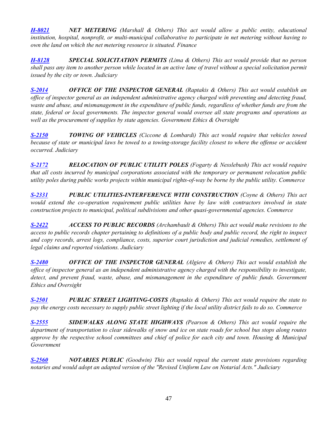*[H-8021](http://webserver.rilin.state.ri.us/BillText/BillText18/HouseText18/H8021.pdf) NET METERING (Marshall & Others) This act would allow a public entity, educational institution, hospital, nonprofit, or multi-municipal collaborative to participate in net metering without having to own the land on which the net metering resource is situated. Finance*

*[H-8128](http://webserver.rilin.state.ri.us/BillText/BillText18/HouseText18/H8128.pdf) SPECIAL SOLICITATION PERMITS (Lima & Others) This act would provide that no person shall pass any item to another person while located in an active lane of travel without a special solicitation permit issued by the city or town. Judiciary*

*[S-2014](http://webserver.rilin.state.ri.us/BillText/BillText18/SenateText18/S2104.pdf) OFFICE OF THE INSPECTOR GENERAL (Raptakis & Others) This act would establish an office of inspector general as an independent administrative agency charged with preventing and detecting fraud, waste and abuse, and mismanagement in the expenditure of public funds, regardless of whether funds are from the state, federal or local governments. The inspector general would oversee all state programs and operations as well as the procurement of supplies by state agencies. Government Ethics & Oversight*

*[S-2150](http://webserver.rilin.state.ri.us/BillText/BillText18/SenateText18/S2150.pdf) TOWING OF VEHICLES (Ciccone & Lombardi) This act would require that vehicles towed because of state or municipal laws be towed to a towing-storage facility closest to where the offense or accident occurred. Judiciary*

*[S-2172](http://webserver.rilin.state.ri.us/BillText/BillText18/SenateText18/S2172.pdf) RELOCATION OF PUBLIC UTILITY POLES (Fogarty & Nesslebush) This act would require that all costs incurred by municipal corporations associated with the temporary or permanent relocation public utility poles during public works projects within municipal rights-of-way be borne by the public utility. Commerce*

*[S-2331](http://webserver.rilin.state.ri.us/BillText/BillText18/SenateText18/S2331.pdf) PUBLIC UTILITIES-INTERFERENCE WITH CONSTRUCTION (Coyne & Others) This act would extend the co-operation requirement public utilities have by law with contractors involved in state construction projects to municipal, political subdivisions and other quasi-governmental agencies. Commerce*

*[S-2422](http://webserver.rilin.state.ri.us/BillText/BillText18/SenateText18/S2422.pdf) ACCESS TO PUBLIC RECORDS (Archambault & Others) This act would make revisions to the access to public records chapter pertaining to definitions of a public body and public record, the right to inspect and copy records, arrest logs, compliance, costs, superior court jurisdiction and judicial remedies, settlement of legal claims and reported violations. Judiciary*

*[S-2480](http://webserver.rilin.state.ri.us/BillText/BillText18/SenateText18/S2480.pdf) OFFICE OF THE INSPECTOR GENERAL (Algiere & Others) This act would establish the office of inspector general as an independent administrative agency charged with the responsibility to investigate, detect, and prevent fraud, waste, abuse, and mismanagement in the expenditure of public funds. Government Ethics and Oversight*

*[S-2501](http://webserver.rilin.state.ri.us/BillText/BillText18/SenateText18/S2501.pdf) PUBLIC STREET LIGHTING-COSTS (Raptakis & Others) This act would require the state to pay the energy costs necessary to supply public street lighting if the local utility district fails to do so. Commerce*

*[S-2555](http://webserver.rilin.state.ri.us/BillText/BillText18/SenateText18/S2555.pdf) SIDEWALKS ALONG STATE HIGHWAYS (Pearson & Others) This act would require the department of transportation to clear sidewalks of snow and ice on state roads for school bus stops along routes approve by the respective school committees and chief of police for each city and town. Housing & Municipal Government*

*[S-2560](http://webserver.rilin.state.ri.us/BillText/BillText18/SenateText18/S2560.pdf) NOTARIES PUBLIC (Goodwin) This act would repeal the current state provisions regarding notaries and would adopt an adapted version of the "Revised Uniform Law on Notarial Acts." Judiciary*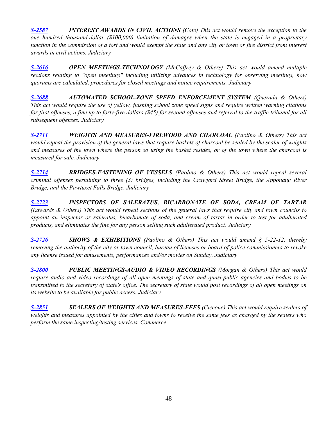*[S-2587](http://webserver.rilin.state.ri.us/BillText/BillText18/SenateText18/S2587.pdf) INTEREST AWARDS IN CIVIL ACTIONS (Cote) This act would remove the exception to the one hundred thousand-dollar (\$100,000) limitation of damages when the state is engaged in a proprietary function in the commission of a tort and would exempt the state and any city or town or fire district from interest awards in civil actions. Judiciary*

*[S-2616](http://webserver.rilin.state.ri.us/BillText/BillText18/SenateText18/S2616.pdf) OPEN MEETINGS-TECHNOLOGY (McCaffrey & Others) This act would amend multiple sections relating to "open meetings" including utilizing advances in technology for observing meetings, how quorums are calculated, procedures for closed meetings and notice requirements. Judiciary*

*[S-2688](http://webserver.rilin.state.ri.us/BillText/BillText18/SenateText18/S2688.pdf) AUTOMATED SCHOOL-ZONE SPEED ENFORCEMENT SYSTEM (Quezada & Others) This act would require the use of yellow, flashing school zone speed signs and require written warning citations for first offenses, a fine up to forty-five dollars (\$45) for second offenses and referral to the traffic tribunal for all subsequent offenses. Judiciary*

*[S-2711](http://webserver.rilin.state.ri.us/BillText/BillText18/SenateText18/S2711.pdf) WEIGHTS AND MEASURES-FIREWOOD AND CHARCOAL (Paolino & Others) This act would repeal the provision of the general laws that require baskets of charcoal be sealed by the sealer of weights and measures of the town where the person so using the basket resides, or of the town where the charcoal is measured for sale. Judiciary*

*[S-2714](http://webserver.rilin.state.ri.us/BillText/BillText18/SenateText18/S2714.pdf) BRIDGES-FASTENING OF VESSELS (Paolino & Others) This act would repeal several criminal offenses pertaining to three (3) bridges, including the Crawford Street Bridge, the Apponaug River Bridge, and the Pawtuxet Falls Bridge. Judiciary*

*[S-2723](http://webserver.rilin.state.ri.us/BillText/BillText18/SenateText18/S2723.pdf) INSPECTORS OF SALERATUS, BICARBONATE OF SODA, CREAM OF TARTAR (Edwards & Others) This act would repeal sections of the general laws that require city and town councils to appoint an inspector or saleratus, bicarbonate of soda, and cream of tartar in order to test for adulterated products, and eliminates the fine for any person selling such adulterated product. Judiciary*

*[S-2726](http://webserver.rilin.state.ri.us/BillText/BillText18/SenateText18/S2726.pdf) SHOWS & EXHIBITIONS (Paolino & Others) This act would amend § 5-22-12, thereby removing the authority of the city or town council, bureau of licenses or board of police commissioners to revoke any license issued for amusements, performances and/or movies on Sunday. Judiciary*

*[S-2800](http://webserver.rilin.state.ri.us/BillText/BillText18/SenateText18/S2803.pdf) PUBLIC MEETINGS-AUDIO & VIDEO RECORDINGS (Morgan & Others) This act would require audio and video recordings of all open meetings of state and quasi-public agencies and bodies to be transmitted to the secretary of state's office. The secretary of state would post recordings of all open meetings on its website to be available for public access. Judiciary*

*[S-2851](http://webserver.rilin.state.ri.us/BillText/BillText18/SenateText18/S2851.pdf) SEALERS OF WEIGHTS AND MEASURES-FEES (Ciccone) This act would require sealers of weights and measures appointed by the cities and towns to receive the same fees as charged by the sealers who perform the same inspecting/testing services. Commerce*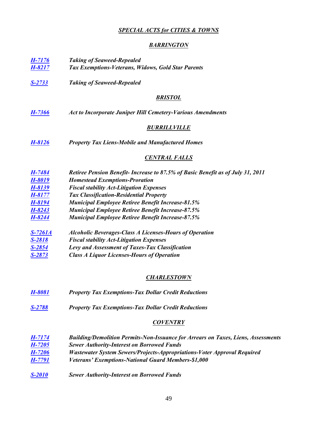## *SPECIAL ACTS for CITIES & TOWNS*

### *BARRINGTON*

<span id="page-48-0"></span>

| $H-7176$       | <b>Taking of Seaweed-Repealed</b>                                               |
|----------------|---------------------------------------------------------------------------------|
| H-8217         | Tax Exemptions-Veterans, Widows, Gold Star Parents                              |
| <u>S-2733</u>  | <b>Taking of Seaweed-Repealed</b>                                               |
|                | <b>BRISTOL</b>                                                                  |
| H-7366         | <b>Act to Incorporate Juniper Hill Cemetery-Various Amendments</b>              |
|                | <b>BURRILLVILLE</b>                                                             |
| <u>H-8126</u>  | <b>Property Tax Liens-Mobile and Manufactured Homes</b>                         |
|                | <u>CENTRAL FALLS</u>                                                            |
| H-7484         | Retiree Pension Benefit- Increase to 87.5% of Basic Benefit as of July 31, 2011 |
| H-8019         | <b>Homestead Exemptions-Proration</b>                                           |
| H-8139         | <b>Fiscal stability Act-Litigation Expenses</b>                                 |
| H-8177         | <b>Tax Classification-Residential Property</b>                                  |
| H-8194         | <b>Municipal Employee Retiree Benefit Increase-81.5%</b>                        |
| H-8243         | <b>Municipal Employee Retiree Benefit Increase-87.5%</b>                        |
| H-8244         | <b>Municipal Employee Retiree Benefit Increase-87.5%</b>                        |
| <u>S-7261A</u> | <b>Alcoholic Beverages-Class A Licenses-Hours of Operation</b>                  |
| S-2818         | <b>Fiscal stability Act-Litigation Expenses</b>                                 |
| S-2854         | Levy and Assessment of Taxes-Tax Classification                                 |
| <u>S-2873</u>  | <b>Class A Liquor Licenses-Hours of Operation</b>                               |
|                | <b>CHARLESTOWN</b>                                                              |
| TT AAA1        | $T \sim N$ 11<br>$\sqrt{ }$<br>$\cdots$ n $\cdots$                              |

- *[H-8081](http://webserver.rilin.state.ri.us/BillText/BillText18/HouseText18/H8081.pdf) Property Tax Exemptions-Tax Dollar Credit Reductions*
- *[S-2788](http://webserver.rilin.state.ri.us/BillText/BillText18/SenateText18/S2788.pdf) Property Tax Exemptions-Tax Dollar Credit Reductions*

## *COVENTRY*

| H-7174        | <b>Building/Demolition Permits-Non-Issuance for Arrears on Taxes, Liens, Assessments</b> |
|---------------|------------------------------------------------------------------------------------------|
| <b>H-7205</b> | <b>Sewer Authority-Interest on Borrowed Funds</b>                                        |
| H-7206        | Wastewater System Sewers/Projects-Appropriations-Voter Approval Required                 |
| H-7791        | Veterans' Exemptions-National Guard Members-\$1,000                                      |
|               |                                                                                          |

*[S-2010](http://webserver.rilin.state.ri.us/BillText/BillText18/SenateText18/S2010.pdf) Sewer Authority-Interest on Borrowed Funds*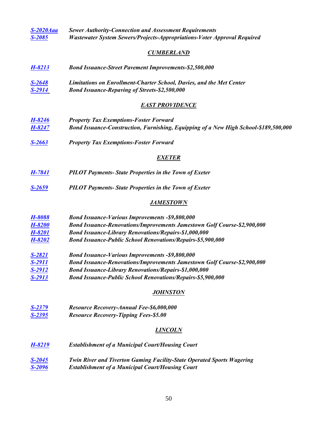| <u>S-2020Aaa</u><br>S-2085 | <b>Sewer Authority-Connection and Assessment Requirements</b><br>Wastewater System Sewers/Projects-Appropriations-Voter Approval Required |
|----------------------------|-------------------------------------------------------------------------------------------------------------------------------------------|
|                            |                                                                                                                                           |
|                            | <b>CUMBERLAND</b>                                                                                                                         |
| <u>H-8213</u>              | <b>Bond Issuance-Street Pavement Improvements-\$2,500,000</b>                                                                             |
| <u>S-2648</u>              | Limitations on Enrollment-Charter School, Davies, and the Met Center                                                                      |
| <u>S-2914</u>              | <b>Bond Issuance-Repaving of Streets-\$2,500,000</b>                                                                                      |
|                            | <b>EAST PROVIDENCE</b>                                                                                                                    |
| H-8246                     | <b>Property Tax Exemptions-Foster Forward</b>                                                                                             |
| H-8247                     | Bond Issuance-Construction, Furnishing, Equipping of a New High School-\$189,500,000                                                      |
| <u>S-2663</u>              | <b>Property Tax Exemptions-Foster Forward</b>                                                                                             |
|                            | <b>EXETER</b>                                                                                                                             |
| <u>H-7841</u>              | <b>PILOT Payments-State Properties in the Town of Exeter</b>                                                                              |
| <u>S-2659</u>              | <b>PILOT Payments-State Properties in the Town of Exeter</b>                                                                              |
|                            | <b>JAMESTOWN</b>                                                                                                                          |
| H-8088                     | <b>Bond Issuance-Various Improvements -\$9,800,000</b>                                                                                    |
| H-8200                     | Bond Issuance-Renovations/Improvements Jamestown Golf Course-\$2,900,000                                                                  |
| H-8201                     | <b>Bond Issuance-Library Renovations/Repairs-\$1,000,000</b>                                                                              |
| H-8202                     | <b>Bond Issuance-Public School Renovations/Repairs-\$5,900,000</b>                                                                        |
| <u>S-2821</u>              | <b>Bond Issuance-Various Improvements -\$9,800,000</b>                                                                                    |
| S-2911                     | <b>Bond Issuance-Renovations/Improvements Jamestown Golf Course-\$2,900,000</b>                                                           |
| <u>S-2912</u>              | <b>Bond Issuance-Library Renovations/Repairs-\$1,000,000</b>                                                                              |
| S-2913                     | <b>Bond Issuance-Public School Renovations/Repairs-\$5,900,000</b>                                                                        |
|                            | <u>JOHNSTON</u>                                                                                                                           |
| <u>S-2379</u>              | Resource Recovery-Annual Fee-\$6,000,000                                                                                                  |
| <u>S-2395</u>              | <b>Resource Recovery-Tipping Fees-\$5.00</b>                                                                                              |
|                            | <b>LINCOLN</b>                                                                                                                            |
| <u>H-8219</u>              | <b>Establishment of a Municipal Court/Housing Court</b>                                                                                   |
| <u>S-2045</u>              | Twin River and Tiverton Gaming Facility-State Operated Sports Wagering                                                                    |
| <u>S-2096</u>              | <b>Establishment of a Municipal Court/Housing Court</b>                                                                                   |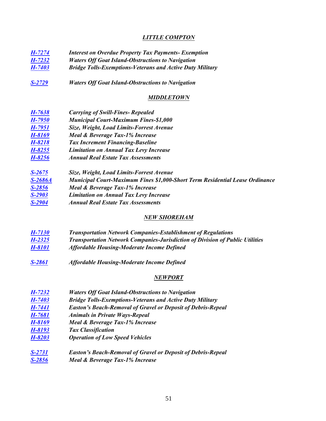## *LITTLE COMPTON*

| H-7274     | <b>Interest on Overdue Property Tax Payments- Exemption</b>      |  |
|------------|------------------------------------------------------------------|--|
| $H-7232$   | <b>Waters Off Goat Island-Obstructions to Navigation</b>         |  |
| H-7403     | <b>Bridge Tolls-Exemptions-Veterans and Active Duty Military</b> |  |
| $S-2729$   | <b>Waters Off Goat Island-Obstructions to Navigation</b>         |  |
|            | <b>MIDDLETOWN</b>                                                |  |
| H-7638     | <b>Carrying of Swill-Fines- Repealed</b>                         |  |
| H-7950     | <b>Municipal Court-Maximum Fines-\$1,000</b>                     |  |
| H-7951     | Size, Weight, Load Limits-Forrest Avenue                         |  |
| H-8169     | Meal & Beverage Tax-1% Increase                                  |  |
| H-8218     | <b>Tax Increment Financing-Baseline</b>                          |  |
| $H - 8255$ | <b>Limitation on Annual Tax Levy Increase</b>                    |  |
| H-8256     | <b>Annual Real Estate Tax Assessments</b>                        |  |
|            |                                                                  |  |

| $S - 2675$ | Size, Weight, Load Limits-Forrest Avenue                                            |
|------------|-------------------------------------------------------------------------------------|
| $S-2686A$  | <b>Municipal Court-Maximum Fines \$1,000-Short Term Residential Lease Ordinance</b> |
| $S-2856$   | Meal & Beverage Tax-1% Increase                                                     |
| $S-2903$   | <b>Limitation on Annual Tax Levy Increase</b>                                       |
| $S-2904$   | <b>Annual Real Estate Tax Assessments</b>                                           |

## *NEW SHOREHAM*

- *[H-7130](http://webserver.rilin.state.ri.us/BillText/BillText18/HouseText18/H7130.pdf) Transportation Network Companies-Establishment of Regulations [H-2325](http://webserver.rilin.state.ri.us/BillText/BillText18/SenateText18/S2325.pdf) Transportation Network Companies-Jurisdiction of Division of Public Utilities*
- *[H-8101](http://webserver.rilin.state.ri.us/BillText/BillText18/HouseText18/H8101.pdf) Affordable Housing-Moderate Income Defined*
- *[S-2861](http://webserver.rilin.state.ri.us/BillText/BillText18/SenateText18/S2861.pdf) Affordable Housing-Moderate Income Defined*

### *NEWPORT*

| $H - 7232$ | <b>Waters Off Goat Island-Obstructions to Navigation</b>            |
|------------|---------------------------------------------------------------------|
| $H - 7403$ | <b>Bridge Tolls-Exemptions-Veterans and Active Duty Military</b>    |
| H-7441     | <b>Easton's Beach-Removal of Gravel or Deposit of Debris-Repeal</b> |
| H-7681     | <b>Animals in Private Ways-Repeal</b>                               |
| H-8169     | Meal & Beverage Tax-1% Increase                                     |
| H-8193     | <b>Tax Classification</b>                                           |
| H-8203     | <b>Operation of Low Speed Vehicles</b>                              |
| $S - 2731$ | <b>Easton's Beach-Removal of Gravel or Deposit of Debris-Repeal</b> |
| $S-2856$   | Meal & Beverage Tax-1% Increase                                     |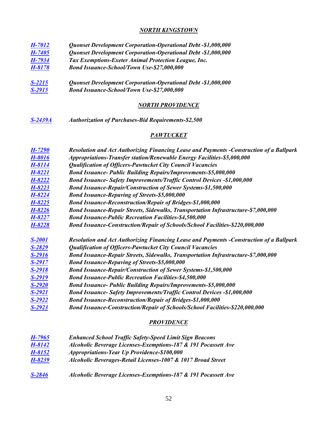### *NORTH KINGSTOWN*

| <b>H-7012</b> | Quonset Development Corporation-Operational Debt -\$1,000,000 |
|---------------|---------------------------------------------------------------|
| H-7405        | Quonset Development Corporation-Operational Debt -\$1,000,000 |
| H-7934        | Tax Exemptions-Exeter Animal Protection League, Inc.          |
|               |                                                               |

*[H-8178](http://webserver.rilin.state.ri.us/BillText/BillText18/HouseText18/H8178.pdf) Bond Issuance-School/Town Use-\$27,000,000*

*[S-2215](http://webserver.rilin.state.ri.us/BillText/BillText18/SenateText18/S2215.pdf) Quonset Development Corporation-Operational Debt -\$1,000,000 [S-2915](http://webserver.rilin.state.ri.us/BillText/BillText18/SenateText18/S2915.pdf) Bond Issuance-School/Town Use-\$27,000,000*

#### *NORTH PROVIDENCE*

*[S-2439A](http://webserver.rilin.state.ri.us/BillText18/SenateText18/S2439A.pdf) Authorization of Purchases-Bid Requirements-\$2,500*

## *PAWTUCKET*

| $H-7290$      | Resolution and Act Authorizing Financing Lease and Payments -Construction of a Ballpark |
|---------------|-----------------------------------------------------------------------------------------|
| H-8016        | Appropriations-Transfer station/Renewable Energy Facilities-\$5,000,000                 |
| H-8114        | <b>Qualification of Officers-Pawtucket City Council Vacancies</b>                       |
| H-8221        | <b>Bond Issuance- Public Building Repairs/Improvements-\$5,000,000</b>                  |
| H-8222        | <b>Bond Issuance- Safety Improvements/Traffic Control Devices -\$1,000,000</b>          |
| H-8223        | <b>Bond Issuance-Repair/Construction of Sewer Systems-\$1,500,000</b>                   |
| H-8224        | <b>Bond Issuance-Repaving of Streets-\$5,000,000</b>                                    |
| H-8225        | <b>Bond Issuance-Reconstruction/Repair of Bridges-\$1,000,000</b>                       |
| H-8226        | Bond Issuance-Repair Streets, Sidewalks, Transportation Infrastructure-\$7,000,000      |
| $H - 8227$    | <b>Bond Issuance-Public Recreation Facilities-\$4,500,000</b>                           |
| H-8228        | Bond Issuance-Construction/Repair of Schools/School Facilities-\$220,000,000            |
| <b>S-2001</b> | Resolution and Act Authorizing Financing Lease and Payments -Construction of a Ballpark |
| S-2829        | <b>Qualification of Officers-Pawtucket City Council Vacancies</b>                       |
| S-2916        | Bond Issuance-Repair Streets, Sidewalks, Transportation Infrastructure-\$7,000,000      |
| S-2917        | <b>Bond Issuance-Repaving of Streets-\$5,000,000</b>                                    |
| S-2918        | <b>Bond Issuance-Repair/Construction of Sewer Systems-\$1,500,000</b>                   |
| S-2919        | <b>Bond Issuance-Public Recreation Facilities-\$4,500,000</b>                           |
| $S - 2920$    |                                                                                         |
|               | <b>Bond Issuance- Public Building Repairs/Improvements-\$5,000,000</b>                  |
| <u>S-2921</u> | <b>Bond Issuance- Safety Improvements/Traffic Control Devices -\$1,000,000</b>          |
| S-2922        | <b>Bond Issuance-Reconstruction/Repair of Bridges-\$1,000,000</b>                       |

#### *PROVIDENCE*

| H-7965     | <b>Enhanced School Traffic Safety-Speed Limit Sign Beacons</b> |
|------------|----------------------------------------------------------------|
| $H-8142$   | Alcoholic Beverage Licenses-Exemptions-187 & 191 Pocassett Ave |
| H-8152     | Appropriations-Year Up Providence-\$100,000                    |
| H-8239     | Alcoholic Beverages-Retail Licenses-1007 & 1017 Broad Street   |
| $S - 2846$ | Alcoholic Beverage Licenses-Exemptions-187 & 191 Pocassett Ave |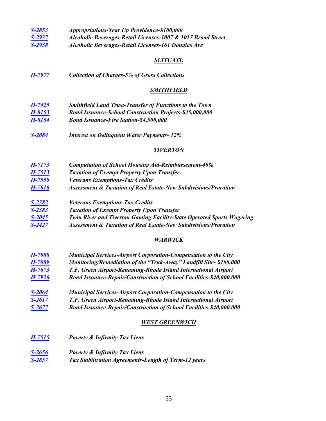| $S - 2853$ | Appropriations-Year Up Providence-\$100,000                  |
|------------|--------------------------------------------------------------|
| $S-2937$   | Alcoholic Beverages-Retail Licenses-1007 & 1017 Broad Street |
| $S-2938$   | Alcoholic Beverages-Retail Licenses-161 Douglas Ave          |

#### *SCITUATE*

*[H-7977](http://webserver.rilin.state.ri.us/BillText/BillText18/HouseText18/H7977.pdf) Collection of Charges-5% of Gross Collections*

#### *SMITHFIELD*

- *[H-7425](http://webserver.rilin.state.ri.us/BillText/BillText18/HouseText18/H7425.pdf) Smithfield Land Trust-Transfer of Functions to the Town [H-8153](http://webserver.rilin.state.ri.us/BillText/BillText18/HouseText18/H8153.pdf) Bond Issuance-School Construction Projects-\$45,000,000 [H-8154](http://webserver.rilin.state.ri.us/BillText/BillText18/HouseText18/H8154.pdf) Bond Issuance-Fire Station-\$4,500,000*
- *[S-2084](http://webserver.rilin.state.ri.us/BillText/BillText18/SenateText18/S2084.pdf) Interest on Delinquent Water Payments- 12%*

#### *TIVERTON*

- *[H-7173](http://webserver.rilin.state.ri.us/BillText/BillText18/HouseText18/H7173.pdf) Computation of School Housing Aid-Reimbursement-40% [H-7513](http://webserver.rilin.state.ri.us/BillText/BillText18/HouseText18/H7513.pdf) Taxation of Exempt Property Upon Transfer [H-7559](http://webserver.rilin.state.ri.us/BillText/BillText18/HouseText18/H7559.pdf) Veterans Exemptions-Tax Credits [H-7616](http://webserver.rilin.state.ri.us/BillText/BillText18/HouseText18/H7616.pdf) Assessment & Taxation of Real Estate-New Subdivisions/Proration*
- *[S-2382](http://webserver.rilin.state.ri.us/BillText/BillText18/SenateText18/S2382.pdf) Veterans Exemptions-Tax Credits*
- *[S-2383](http://webserver.rilin.state.ri.us/BillText/BillText18/SenateText18/S2383.pdf) Taxation of Exempt Property Upon Transfer*
- *[S-2045](http://webserver.rilin.state.ri.us/BillText/BillText18/SenateText18/S2045.pdf) Twin River and Tiverton Gaming Facility-State Operated Sports Wagering*
- *[S-2427](http://webserver.rilin.state.ri.us/BillText/BillText18/SenateText18/S2427.pdf) Assessment & Taxation of Real Estate-New Subdivisions/Proration*

#### *WARWICK*

- *[H-7088](http://webserver.rilin.state.ri.us/BillText/BillText18/HouseText18/H7088.pdf) Municipal Services-Airport Corporation-Compensation to the City [H-7089](http://webserver.rilin.state.ri.us/BillText/BillText18/HouseText18/H7089.pdf) Monitoring/Remediation of the "Truk-Away" Landfill Site- \$100,000 [H-7673](http://webserver.rilin.state.ri.us/BillText/BillText18/HouseText18/H7672.pdf) T.F. Green Airport-Renaming-Rhode Island International Airport [H-7926](http://webserver.rilin.state.ri.us/BillText/BillText18/HouseText18/H7926.pdf) Bond Issuance-Repair/Construction of School Facilities-\$40,000,000*
- *[S-2064](http://webserver.rilin.state.ri.us/BillText/BillText18/SenateText18/S2064.pdf) Municipal Services-Airport Corporation-Compensation to the City [S-2617](http://webserver.rilin.state.ri.us/BillText/BillText18/SenateText18/S2617.pdf) T.F. Green Airport-Renaming-Rhode Island International Airport*
- *S-2677 [Bond Issuance-Repair/Construction of School Facilities-\\$40,000,000](http://webserver.rilin.state.ri.us/BillText/BillText18/SenateText18/S2677.pdf)*

#### *WEST GREENWICH*

- *[H-7515](http://webserver.rilin.state.ri.us/BillText/BillText18/HouseText18/H7515.pdf) Poverty & Infirmity Tax Liens*
- *[S-2656](http://webserver.rilin.state.ri.us/BillText/BillText18/SenateText18/S2656.pdf) Poverty & Infirmity Tax Liens [S-2857](http://webserver.rilin.state.ri.us/BillText/BillText18/SenateText18/S2857.pdf) Tax Stabilization Agreements-Length of Term-12 years*